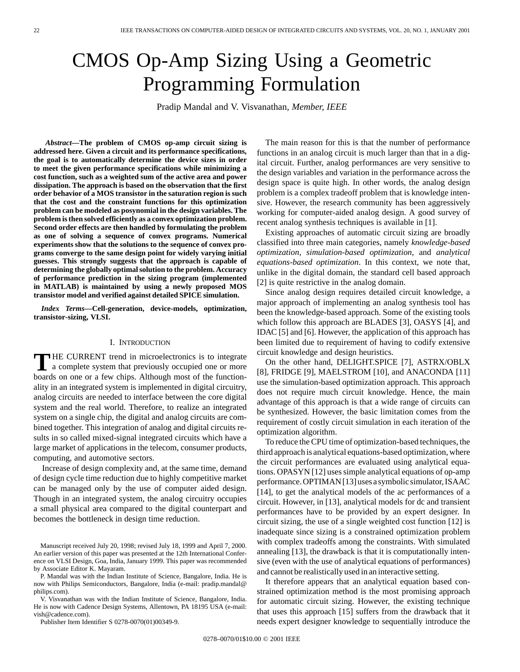# CMOS Op-Amp Sizing Using a Geometric Programming Formulation

Pradip Mandal and V. Visvanathan*, Member, IEEE*

*Abstract—***The problem of CMOS op-amp circuit sizing is addressed here. Given a circuit and its performance specifications, the goal is to automatically determine the device sizes in order to meet the given performance specifications while minimizing a cost function, such as a weighted sum of the active area and power dissipation. The approach is based on the observation that the first order behavior of a MOS transistor in the saturation region is such that the cost and the constraint functions for this optimization problem can be modeled as posynomial in the design variables. The problem is then solved efficiently as a convex optimization problem. Second order effects are then handled by formulating the problem as one of solving a sequence of convex programs. Numerical experiments show that the solutions to the sequence of convex programs converge to the same design point for widely varying initial guesses. This strongly suggests that the approach is capable of determining the globally optimal solution to the problem. Accuracy of performance prediction in the sizing program (implemented in MATLAB) is maintained by using a newly proposed MOS transistor model and verified against detailed SPICE simulation.**

*Index Terms—***Cell-generation, device-models, optimization, transistor-sizing, VLSI.**

#### I. INTRODUCTION

**T** HE CURRENT trend in microelectronics is to integrate a complete system that previously occupied one or more boards on one or a few chips. Although most of the functionality in an integrated system is implemented in digital circuitry, analog circuits are needed to interface between the core digital system and the real world. Therefore, to realize an integrated system on a single chip, the digital and analog circuits are combined together. This integration of analog and digital circuits results in so called mixed-signal integrated circuits which have a large market of applications in the telecom, consumer products, computing, and automotive sectors.

Increase of design complexity and, at the same time, demand of design cycle time reduction due to highly competitive market can be managed only by the use of computer aided design. Though in an integrated system, the analog circuitry occupies a small physical area compared to the digital counterpart and becomes the bottleneck in design time reduction.

V. Visvanathan was with the Indian Institute of Science, Bangalore, India. He is now with Cadence Design Systems, Allentown, PA 18195 USA (e-mail: vish@cadence.com).

Publisher Item Identifier S 0278-0070(01)00349-9.

The main reason for this is that the number of performance functions in an analog circuit is much larger than that in a digital circuit. Further, analog performances are very sensitive to the design variables and variation in the performance across the design space is quite high. In other words, the analog design problem is a complex tradeoff problem that is knowledge intensive. However, the research community has been aggressively working for computer-aided analog design. A good survey of recent analog synthesis techniques is available in [1].

Existing approaches of automatic circuit sizing are broadly classified into three main categories, namely *knowledge-based optimization, simulation-based optimization,* and *analytical equations-based optimization*. In this context, we note that, unlike in the digital domain, the standard cell based approach [2] is quite restrictive in the analog domain.

Since analog design requires detailed circuit knowledge, a major approach of implementing an analog synthesis tool has been the knowledge-based approach. Some of the existing tools which follow this approach are BLADES [3], OASYS [4], and IDAC [5] and [6]. However, the application of this approach has been limited due to requirement of having to codify extensive circuit knowledge and design heuristics.

On the other hand, DELIGHT.SPICE [7], ASTRX/OBLX [8], FRIDGE [9], MAELSTROM [10], and ANACONDA [11] use the simulation-based optimization approach. This approach does not require much circuit knowledge. Hence, the main advantage of this approach is that a wide range of circuits can be synthesized. However, the basic limitation comes from the requirement of costly circuit simulation in each iteration of the optimization algorithm.

To reduce the CPU time of optimization-based techniques, the third approach is analytical equations-based optimization, where the circuit performances are evaluated using analytical equations. OPASYN [12] uses simple analytical equations of op-amp performance. OPTIMAN[13] uses a symbolic simulator, ISAAC [14], to get the analytical models of the ac performances of a circuit. However, in [13], analytical models for dc and transient performances have to be provided by an expert designer. In circuit sizing, the use of a single weighted cost function [12] is inadequate since sizing is a constrained optimization problem with complex tradeoffs among the constraints. With simulated annealing [13], the drawback is that it is computationally intensive (even with the use of analytical equations of performances) and cannot be realistically used in an interactive setting.

It therefore appears that an analytical equation based constrained optimization method is the most promising approach for automatic circuit sizing. However, the existing technique that uses this approach [15] suffers from the drawback that it needs expert designer knowledge to sequentially introduce the

Manuscript received July 20, 1998; revised July 18, 1999 and April 7, 2000. An earlier version of this paper was presented at the 12th International Conference on VLSI Design, Goa, India, January 1999. This paper was recommended by Associate Editor K. Mayaram.

P. Mandal was with the Indian Institute of Science, Bangalore, India. He is now with Philips Semiconductors, Bangalore, India (e-mail: pradip.mandal@ philips.com).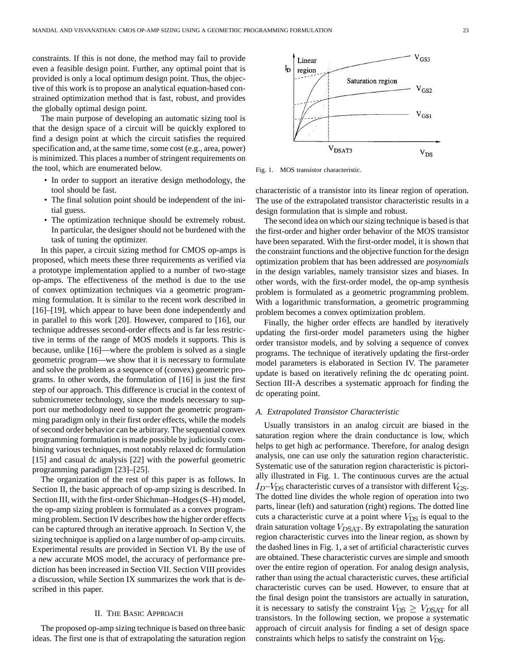constraints. If this is not done, the method may fail to provide even a feasible design point. Further, any optimal point that is provided is only a local optimum design point. Thus, the objective of this work is to propose an analytical equation-based constrained optimization method that is fast, robust, and provides the globally optimal design point.

The main purpose of developing an automatic sizing tool is that the design space of a circuit will be quickly explored to find a design point at which the circuit satisfies the required specification and, at the same time, some cost (e.g., area, power) is minimized. This places a number of stringent requirements on the tool, which are enumerated below.

- In order to support an iterative design methodology, the tool should be fast.
- The final solution point should be independent of the initial guess.
- The optimization technique should be extremely robust. In particular, the designer should not be burdened with the task of tuning the optimizer.

In this paper, a circuit sizing method for CMOS op-amps is proposed, which meets these three requirements as verified via a prototype implementation applied to a number of two-stage op-amps. The effectiveness of the method is due to the use of convex optimization techniques via a geometric programming formulation. It is similar to the recent work described in [16]–[19], which appear to have been done independently and in parallel to this work [20]. However, compared to [16], our technique addresses second-order effects and is far less restrictive in terms of the range of MOS models it supports. This is because, unlike [16]—where the problem is solved as a single geometric program—we show that it is necessary to formulate and solve the problem as a sequence of (convex) geometric programs. In other words, the formulation of [16] is just the first step of our approach. This difference is crucial in the context of submicrometer technology, since the models necessary to support our methodology need to support the geometric programming paradigm only in their first order effects, while the models of second order behavior can be arbitrary. The sequential convex programming formulation is made possible by judiciously combining various techniques, most notably relaxed dc formulation [15] and casual dc analysis [22] with the powerful geometric programming paradigm [23]–[25].

The organization of the rest of this paper is as follows. In Section II, the basic approach of op-amp sizing is described. In Section III, with the first-order Shichman–Hodges (S–H) model, the op-amp sizing problem is formulated as a convex programming problem. Section IV describes how the higher order effects can be captured through an iterative approach. In Section V, the sizing technique is applied on a large number of op-amp circuits. Experimental results are provided in Section VI. By the use of a new accurate MOS model, the accuracy of performance prediction has been increased in Section VII. Section VIII provides a discussion, while Section IX summarizes the work that is described in this paper.

#### II. THE BASIC APPROACH

The proposed op-amp sizing technique is based on three basic ideas. The first one is that of extrapolating the saturation region



Fig. 1. MOS transistor characteristic.

characteristic of a transistor into its linear region of operation. The use of the extrapolated transistor characteristic results in a design formulation that is simple and robust.

The second idea on which our sizing technique is based is that the first-order and higher order behavior of the MOS transistor have been separated. With the first-order model, it is shown that the constraint functions and the objective function for the design optimization problem that has been addressed are *posynomials* in the design variables, namely transistor sizes and biases. In other words, with the first-order model, the op-amp synthesis problem is formulated as a geometric programming problem. With a logarithmic transformation, a geometric programming problem becomes a convex optimization problem.

Finally, the higher order effects are handled by iteratively updating the first-order model parameters using the higher order transistor models, and by solving a sequence of convex programs. The technique of iteratively updating the first-order model parameters is elaborated in Section IV. The parameter update is based on iteratively refining the dc operating point. Section III-A describes a systematic approach for finding the dc operating point.

## *A. Extrapolated Transistor Characteristic*

Usually transistors in an analog circuit are biased in the saturation region where the drain conductance is low, which helps to get high ac performance. Therefore, for analog design analysis, one can use only the saturation region characteristic. Systematic use of the saturation region characteristic is pictorially illustrated in Fig. 1. The continuous curves are the actual  $I_D-V_{DS}$  characteristic curves of a transistor with different  $V_{GS}$ . The dotted line divides the whole region of operation into two parts, linear (left) and saturation (right) regions. The dotted line cuts a characteristic curve at a point where  $V_{DS}$  is equal to the drain saturation voltage  $V_{D\text{SAT}}$ . By extrapolating the saturation region characteristic curves into the linear region, as shown by the dashed lines in Fig. 1, a set of artificial characteristic curves are obtained. These characteristic curves are simple and smooth over the entire region of operation. For analog design analysis, rather than using the actual characteristic curves, these artificial characteristic curves can be used. However, to ensure that at the final design point the transistors are actually in saturation, it is necessary to satisfy the constraint  $V_{DS} \geq V_{DSAT}$  for all transistors. In the following section, we propose a systematic approach of circuit analysis for finding a set of design space constraints which helps to satisfy the constraint on  $V_{DS}$ .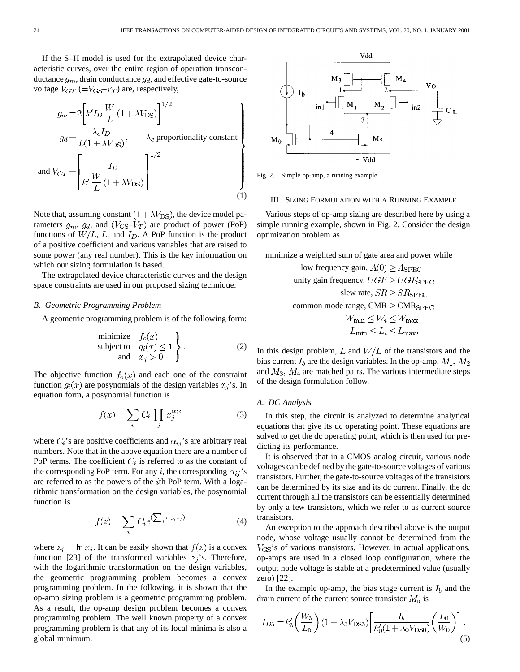If the S–H model is used for the extrapolated device characteristic curves, over the entire region of operation transconductance  $g_m$ , drain conductance  $g_d$ , and effective gate-to-source voltage  $V_{GT}$  (= $V_{GS}$ - $V_T$ ) are, respectively,

$$
g_m = 2\left[k'I_D \frac{W}{L} (1 + \lambda V_{DS})\right]^{1/2}
$$
  
\n
$$
g_d = \frac{\lambda_c I_D}{L(1 + \lambda V_{DS})}, \qquad \lambda_c \text{ proportionality constant}
$$
  
\nand  $V_{GT} = \left[\frac{I_D}{k' \frac{W}{L} (1 + \lambda V_{DS})}\right]^{1/2}$  (1)

Note that, assuming constant  $(1 + \lambda V_{DS})$ , the device model parameters  $g_m$ ,  $g_d$ , and  $(V_{\text{GS}}-V_T)$  are product of power (PoP) functions of  $W/L$ , L, and  $I_D$ . A PoP function is the product of a positive coefficient and various variables that are raised to some power (any real number). This is the key information on which our sizing formulation is based.

The extrapolated device characteristic curves and the design space constraints are used in our proposed sizing technique.

#### *B. Geometric Programming Problem*

A geometric programming problem is of the following form:

$$
\begin{array}{ll}\text{minimize} & f_o(x) \\ \text{subject to} & g_i(x) \le 1 \\ \text{and} & x_j > 0 \end{array} \bigg\} \tag{2}
$$

The objective function  $f_0(x)$  and each one of the constraint function  $g_i(x)$  are posynomials of the design variables  $x_i$ 's. In equation form, a posynomial function is

$$
f(x) = \sum_{i} C_i \prod_{j} x_j^{\alpha_{ij}} \tag{3}
$$

where  $C_i$ 's are positive coefficients and  $\alpha_{ij}$ 's are arbitrary real numbers. Note that in the above equation there are a number of PoP terms. The coefficient  $C_i$  is referred to as the constant of the corresponding PoP term. For any i, the corresponding  $\alpha_{ij}$ 's are referred to as the powers of the *i*th PoP term. With a logarithmic transformation on the design variables, the posynomial function is

$$
f(z) = \sum_{i} C_i e^{(\sum_j \alpha_{ij} z_j)}
$$
 (4)

where  $z_i = \ln x_i$ . It can be easily shown that  $f(z)$  is a convex function [23] of the transformed variables  $z_i$ 's. Therefore, with the logarithmic transformation on the design variables, the geometric programming problem becomes a convex programming problem. In the following, it is shown that the op-amp sizing problem is a geometric programming problem. As a result, the op-amp design problem becomes a convex programming problem. The well known property of a convex programming problem is that any of its local minima is also a global minimum.



Fig. 2. Simple op-amp, a running example.

## III. SIZING FORMULATION WITH A RUNNING EXAMPLE

Various steps of op-amp sizing are described here by using a simple running example, shown in Fig. 2. Consider the design optimization problem as

minimize a weighted sum of gate area and power while

low frequency gain,  $A(0) > A_{\text{SPEC}}$ unity gain frequency,  $UGF \geq UGF_{\text{SPEC}}$ slew rate,  $SR > SR_{SPEC}$ common mode range,  $CMR \geq CMR<sub>SPEC</sub>$  $W_{\min} \leq W_i \leq W_{\max}$  $L_{\min} \le L_i \le L_{\max}$ .

In this design problem,  $L$  and  $W/L$  of the transistors and the bias current  $I_b$  are the design variables. In the op-amp,  $M_1$ ,  $M_2$ and  $M_3$ ,  $M_4$  are matched pairs. The various intermediate steps of the design formulation follow.

#### *A. DC Analysis*

In this step, the circuit is analyzed to determine analytical equations that give its dc operating point. These equations are solved to get the dc operating point, which is then used for predicting its performance.

It is observed that in a CMOS analog circuit, various node voltages can be defined by the gate-to-source voltages of various transistors. Further, the gate-to-source voltages of the transistors can be determined by its size and its dc current. Finally, the dc current through all the transistors can be essentially determined by only a few transistors, which we refer to as current source transistors.

An exception to the approach described above is the output node, whose voltage usually cannot be determined from the  $V_{\text{GS}}$ 's of various transistors. However, in actual applications, op-amps are used in a closed loop configuration, where the output node voltage is stable at a predetermined value (usually zero) [22].

In the example op-amp, the bias stage current is  $I_b$  and the drain current of the current source transistor  $M_5$  is

$$
I_{D5} = k_5' \left(\frac{W_5}{L_5}\right) (1 + \lambda_5 V_{\text{DSS}}) \left[\frac{I_b}{k_0' (1 + \lambda_0 V_{\text{DSO}})} \left(\frac{L_0}{W_0}\right)\right].
$$
\n(5)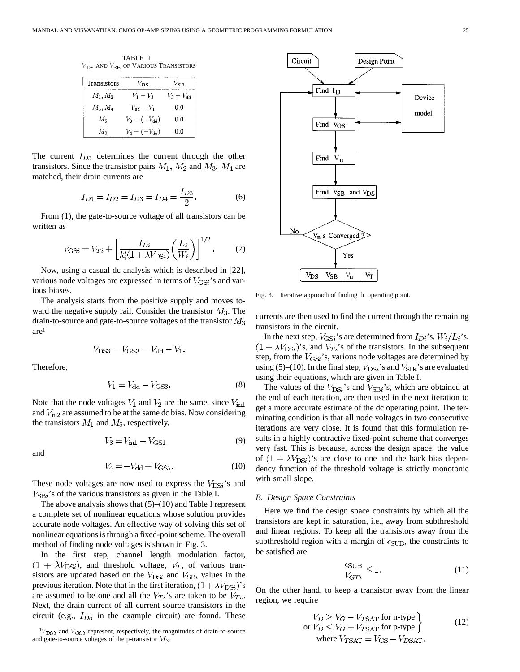TABLE I  $V_{\rm DS}$  and  $V_{\rm SB}$  of Various Transistors

| Transistors | $V_{D^{\mathcal{S}}}$ | $V_{\scriptscriptstyle\rm CP}$ |
|-------------|-----------------------|--------------------------------|
| $M_1, M_2$  | $V_1-V_3$             | $V_3 + V_{dd}$                 |
| $M_3, M_4$  | $V_{dd}-V_1$          | 0.0                            |
| M.          | $V_3 - (-V_{dd})$     | 0.0                            |
| Mo          | $V_4 - (-V_{dd})$     | 0.0                            |

The current  $I_{D5}$  determines the current through the other transistors. Since the transistor pairs  $M_1$ ,  $M_2$  and  $M_3$ ,  $M_4$  are matched, their drain currents are

$$
I_{D1} = I_{D2} = I_{D3} = I_{D4} = \frac{I_{D5}}{2}.
$$
 (6)

From  $(1)$ , the gate-to-source voltage of all transistors can be written as

$$
V_{\text{GS}i} = V_{Ti} + \left[\frac{I_{Di}}{k_i'(1 + \lambda V_{\text{DS}i})} \left(\frac{L_i}{W_i}\right)\right]^{1/2}.\tag{7}
$$

Now, using a casual dc analysis which is described in [22], various node voltages are expressed in terms of  $V_{\text{GS}i}$ 's and various biases.

The analysis starts from the positive supply and moves toward the negative supply rail. Consider the transistor  $M_3$ . The drain-to-source and gate-to-source voltages of the transistor  $M_3$ are1

$$
V_{\text{DS3}} = V_{\text{GS3}} = V_{\text{dd}} - V_1.
$$

Therefore,

$$
V_1 = V_{\rm dd} - V_{\rm GS3}.\tag{8}
$$

Note that the node voltages  $V_1$  and  $V_2$  are the same, since  $V_{\text{in1}}$ and  $V_{\text{in2}}$  are assumed to be at the same dc bias. Now considering the transistors  $M_1$  and  $M_5$ , respectively,

$$
V_3 = V_{\text{in1}} - V_{\text{GS1}} \tag{9}
$$

and

$$
V_4 = -V_{\text{dd}} + V_{\text{GS5}}.\tag{10}
$$

These node voltages are now used to express the  $V_{DSi}$ 's and  $V_{SBi}$ 's of the various transistors as given in the Table I.

The above analysis shows that  $(5)$ – $(10)$  and Table I represent a complete set of nonlinear equations whose solution provides accurate node voltages. An effective way of solving this set of nonlinear equations is through a fixed-point scheme. The overall method of finding node voltages is shown in Fig. 3.

In the first step, channel length modulation factor,  $(1 + \lambda V_{DSi})$ , and threshold voltage,  $V_T$ , of various transistors are updated based on the  $V_{DSi}$  and  $V_{SBi}$  values in the previous iteration. Note that in the first iteration,  $(1 + \lambda V_{DSi})$ 's are assumed to be one and all the  $V_{Ti}$ 's are taken to be  $V_{To}$ . Next, the drain current of all current source transistors in the circuit (e.g.,  $I_{D5}$  in the example circuit) are found. These



Fig. 3. Iterative approach of finding dc operating point.

currents are then used to find the current through the remaining transistors in the circuit.

In the next step,  $V_{\text{GS}i}$ 's are determined from  $I_{Di}$ 's,  $W_i/L_i$ 's,  $(1 + \lambda V_{DSi})$ 's, and  $V_{Ti}$ 's of the transistors. In the subsequent step, from the  $V_{\text{GS}i}$ 's, various node voltages are determined by using (5)–(10). In the final step,  $V_{DSi}$ 's and  $V_{SBi}$ 's are evaluated using their equations, which are given in Table I.

The values of the  $V_{DSi}$ 's and  $V_{SBi}$ 's, which are obtained at the end of each iteration, are then used in the next iteration to get a more accurate estimate of the dc operating point. The terminating condition is that all node voltages in two consecutive iterations are very close. It is found that this formulation results in a highly contractive fixed-point scheme that converges very fast. This is because, across the design space, the value of  $(1 + \lambda V_{DSi})$ 's are close to one and the back bias dependency function of the threshold voltage is strictly monotonic with small slope.

## *B. Design Space Constraints*

Here we find the design space constraints by which all the transistors are kept in saturation, i.e., away from subthreshold and linear regions. To keep all the transistors away from the subthreshold region with a margin of  $\epsilon_{\text{SUB}}$ , the constraints to be satisfied are

$$
\frac{\epsilon_{\text{SUB}}}{V_{GTi}} \le 1. \tag{11}
$$

On the other hand, to keep a transistor away from the linear region, we require

$$
V_D \ge V_G - V_{TSAT} \text{ for n-type} \n\text{or } V_D \le V_G + V_{TSAT} \text{ for p-type} \n\text{where } V_{TSAT} = V_{GS} - V_{DSAT}.
$$
\n(12)

 $^{1}V_{\text{DS3}}$  and  $V_{\text{GS3}}$  represent, respectively, the magnitudes of drain-to-source and gate-to-source voltages of the p-transistor  $M_3$ .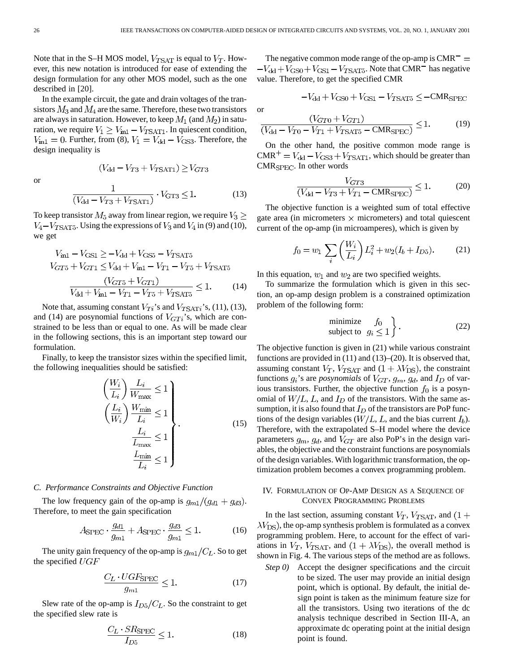or

Note that in the S–H MOS model,  $V_{T\text{SAT}}$  is equal to  $V_T$ . However, this new notation is introduced for ease of extending the design formulation for any other MOS model, such as the one described in [20].

In the example circuit, the gate and drain voltages of the transistors  $M_3$  and  $M_4$  are the same. Therefore, these two transistors are always in saturation. However, to keep  $M_1$  (and  $M_2$ ) in saturation, we require  $V_1 \geq V_{\text{inl}} - V_{T\text{SAT1}}$ . In quiescent condition,  $V_{\text{in1}} = 0$ . Further, from (8),  $V_1 = V_{\text{dd}} - V_{\text{GS3}}$ . Therefore, the design inequality is

or

$$
\frac{1}{(V_{\rm dd} - V_{T3} + V_{TSAT1})} \cdot V_{\rm GT3} \le 1.
$$
 (13)

 $(V_{\rm dd}-V_{T3}+V_{T{\rm SAT}1})>V_{GT3}$ 

To keep transistor  $M_5$  away from linear region, we require  $V_3 \geq$  $V_4 - V_{TSAT5}$ . Using the expressions of  $V_3$  and  $V_4$  in (9) and (10), we get

$$
V_{\text{in1}} - V_{\text{GS1}} \ge -V_{\text{dd}} + V_{\text{GS5}} - V_{T\text{SAT5}}V_{GT5} + V_{GT1} \le V_{\text{dd}} + V_{\text{in1}} - V_{T1} - V_{T5} + V_{T\text{SAT5}}\frac{(V_{GT5} + V_{GT1})}{V_{\text{dd}} + V_{\text{in1}} - V_{T1} - V_{T5} + V_{T\text{SAT5}}} \le 1.
$$
 (14)

Note that, assuming constant  $V_{Ti}$ 's and  $V_{TSATi}$ 's, (11), (13), and (14) are posynomial functions of  $V_{GTi}$ 's, which are constrained to be less than or equal to one. As will be made clear in the following sections, this is an important step toward our formulation.

Finally, to keep the transistor sizes within the specified limit, the following inequalities should be satisfied:

$$
\left(\frac{W_i}{L_i}\right) \frac{L_i}{W_{\text{max}}} \le 1
$$
\n
$$
\left(\frac{L_i}{W_i}\right) \frac{W_{\text{min}}}{L_i} \le 1
$$
\n
$$
\frac{L_i}{L_{\text{max}}} \le 1
$$
\n
$$
\frac{L_{\text{min}}}{L_i} \le 1
$$
\n(15)

## *C. Performance Constraints and Objective Function*

The low frequency gain of the op-amp is  $g_{m1}/(g_{d1} + g_{d3})$ . Therefore, to meet the gain specification

$$
A_{\rm SPEC} \cdot \frac{g_{d1}}{g_{m1}} + A_{\rm SPEC} \cdot \frac{g_{d3}}{g_{m1}} \le 1.
$$
 (16)

The unity gain frequency of the op-amp is  $g_{m1}/C_L$ . So to get the specified  $UGF$ 

$$
\frac{C_L \cdot UGF_{\text{SPEC}}}{g_{m1}} \le 1. \tag{17}
$$

Slew rate of the op-amp is  $I_{D5}/C_L$ . So the constraint to get the specified slew rate is

$$
\frac{C_L \cdot SR_{\text{SPEC}}}{I_{D5}} \le 1. \tag{18}
$$

The negative common mode range of the op-amp is  $CMR^{-} =$  $-V_{\text{dd}} + V_{\text{GSO}} + V_{\text{GSL}} - V_{\text{TSAT5}}$ . Note that CMR<sup>-</sup> has negative value. Therefore, to get the specified CMR

$$
-V_{\rm dd} + V_{\rm GSO} + V_{\rm GSI} - V_{T\rm SAT5} \le -\rm CMR_{\rm SPEC}
$$

$$
\frac{(V_{GT0} + V_{GT1})}{(V_{dd} - V_{T0} - V_{T1} + V_{TSAT5} - CMR_{SPEC})} \le 1.
$$
 (19)

On the other hand, the positive common mode range is  $CMR^+ = V_{dd} - V_{GS3} + V_{TSAT1}$ , which should be greater than  $CMR<sub>SPEC</sub>$ . In other words

$$
\frac{V_{GT3}}{(V_{\text{dd}} - V_{T3} + V_{T1} - \text{CMR}_{\text{SPEC}})} \le 1.
$$
 (20)

The objective function is a weighted sum of total effective gate area (in micrometers  $\times$  micrometers) and total quiescent current of the op-amp (in microamperes), which is given by

$$
f_0 = w_1 \sum_i \left(\frac{W_i}{L_i}\right) L_i^2 + w_2(I_b + I_{D5}).\tag{21}
$$

In this equation,  $w_1$  and  $w_2$  are two specified weights.

To summarize the formulation which is given in this section, an op-amp design problem is a constrained optimization problem of the following form:

$$
\begin{array}{ll}\text{minimize} & f_0\\ \text{subject to} & g_i \le 1 \end{array} \tag{22}
$$

The objective function is given in (21) while various constraint functions are provided in (11) and (13)–(20). It is observed that, assuming constant  $V_T$ ,  $V_{T\text{SAT}}$  and  $(1 + \lambda V_{\text{DS}})$ , the constraint functions  $g_i$ 's are *posynomials* of  $V_{GT}$ ,  $g_m$ ,  $g_d$ , and  $I_D$  of various transistors. Further, the objective function  $f_0$  is a posynomial of  $W/L$ , L, and  $I_D$  of the transistors. With the same assumption, it is also found that  $I_D$  of the transistors are PoP functions of the design variables  $(W/L, L,$  and the bias current  $I_b$ ). Therefore, with the extrapolated S–H model where the device parameters  $g_m$ ,  $g_d$ , and  $V_{GT}$  are also PoP's in the design variables, the objective and the constraint functions are posynomials of the design variables. With logarithmic transformation, the optimization problem becomes a convex programming problem.

# IV. FORMULATION OF OP-AMP DESIGN AS A SEQUENCE OF CONVEX PROGRAMMING PROBLEMS

In the last section, assuming constant  $V_T$ ,  $V_{T\text{SAT}}$ , and (1+  $\lambda V_{\rm DS}$ , the op-amp synthesis problem is formulated as a convex programming problem. Here, to account for the effect of variations in  $V_T$ ,  $V_{TSAT}$ , and  $(1 + \lambda V_{DS})$ , the overall method is shown in Fig. 4. The various steps of the method are as follows.

*Step 0)* Accept the designer specifications and the circuit to be sized. The user may provide an initial design point, which is optional. By default, the initial design point is taken as the minimum feature size for all the transistors. Using two iterations of the dc analysis technique described in Section III-A, an approximate dc operating point at the initial design point is found.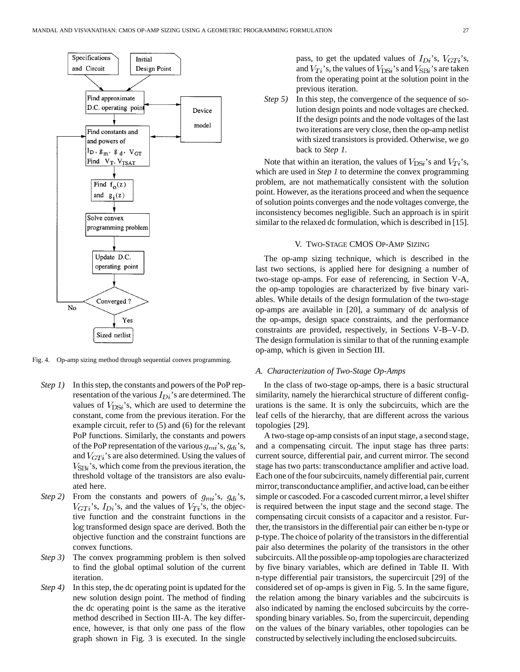

Fig. 4. Op-amp sizing method through sequential convex programming.

- *Step 1*) In this step, the constants and powers of the PoP representation of the various  $I_{Di}$ 's are determined. The values of  $V_{DSi}$ 's, which are used to determine the constant, come from the previous iteration. For the example circuit, refer to (5) and (6) for the relevant PoP functions. Similarly, the constants and powers of the PoP representation of the various  $g_{mi}$ 's,  $g_{di}$ 's, and  $V_{GTi}$ 's are also determined. Using the values of  $V_{SBi}$ 's, which come from the previous iteration, the threshold voltage of the transistors are also evaluated here.
- *Step 2)* From the constants and powers of  $g_{mi}$ 's,  $g_{di}$ 's,  $V_{GTi}$ 's,  $I_{Di}$ 's, and the values of  $V_{Ti}$ 's, the objective function and the constraint functions in the log transformed design space are derived. Both the objective function and the constraint functions are convex functions.
- *Step 3*) The convex programming problem is then solved to find the global optimal solution of the current iteration.
- *Step 4)* In this step, the dc operating point is updated for the new solution design point. The method of finding the dc operating point is the same as the iterative method described in Section III-A. The key difference, however, is that only one pass of the flow graph shown in Fig. 3 is executed. In the single

pass, to get the updated values of  $I_{Di}$ 's,  $V_{GTi}$ 's, and  $V_{Ti}$ 's, the values of  $V_{DSi}$ 's and  $V_{SBi}$ 's are taken from the operating point at the solution point in the previous iteration.

*Step 5)* In this step, the convergence of the sequence of solution design points and node voltages are checked. If the design points and the node voltages of the last two iterations are very close, then the op-amp netlist with sized transistors is provided. Otherwise, we go back to *Step 1.*

Note that within an iteration, the values of  $V_{DSi}$ 's and  $V_{Ti}$ 's, which are used in *Step 1* to determine the convex programming problem, are not mathematically consistent with the solution point. However, as the iterations proceed and when the sequence of solution points converges and the node voltages converge, the inconsistency becomes negligible. Such an approach is in spirit similar to the relaxed dc formulation, which is described in [15].

## V. TWO-STAGE CMOS OP-AMP SIZING

The op-amp sizing technique, which is described in the last two sections, is applied here for designing a number of two-stage op-amps. For ease of referencing, in Section V-A, the op-amp topologies are characterized by five binary variables. While details of the design formulation of the two-stage op-amps are available in [20], a summary of dc analysis of the op-amps, design space constraints, and the performance constraints are provided, respectively, in Sections V-B–V-D. The design formulation is similar to that of the running example op-amp, which is given in Section III.

## *A. Characterization of Two-Stage Op-Amps*

In the class of two-stage op-amps, there is a basic structural similarity, namely the hierarchical structure of different configurations is the same. It is only the subcircuits, which are the leaf cells of the hierarchy, that are different across the various topologies [29].

A two-stage op-amp consists of an input stage, a second stage, and a compensating circuit. The input stage has three parts: current source, differential pair, and current mirror. The second stage has two parts: transconductance amplifier and active load. Each one of the four subcircuits, namely differential pair, current mirror, transconductance amplifier, and active load, can be either simple or cascoded. For a cascoded current mirror, a level shifter is required between the input stage and the second stage. The compensating circuit consists of a capacitor and a resistor. Further, the transistors in the differential pair can either be n-type or p-type. The choice of polarity of the transistors in the differential pair also determines the polarity of the transistors in the other subcircuits. All the possible op-amp topologies are characterized by five binary variables, which are defined in Table II. With n-type differential pair transistors, the supercircuit [29] of the considered set of op-amps is given in Fig. 5. In the same figure, the relation among the binary variables and the subcircuits is also indicated by naming the enclosed subcircuits by the corresponding binary variables. So, from the supercircuit, depending on the values of the binary variables, other topologies can be constructed by selectively including the enclosed subcircuits.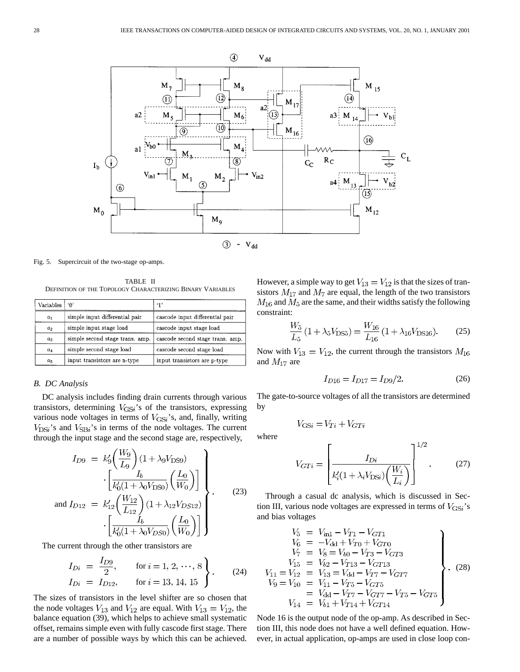

Fig. 5. Supercircuit of the two-stage op-amps.

TABLE II DEFINITION OF THE TOPOLOGY CHARACTERIZING BINARY VARIABLES

| Variables      | 'በ'                             | 41,                              |
|----------------|---------------------------------|----------------------------------|
| a <sub>1</sub> | simple input differential pair  | cascode input differential pair  |
| a <sub>2</sub> | simple input stage load         | cascode input stage load         |
| $a_3$          | simple second stage trans. amp. | cascode second stage trans. amp. |
| $a_4$          | simple second stage load        | cascode second stage load        |
| $a_5$          | input transistors are n-type    | input transistors are p-type     |

# *B. DC Analysis*

DC analysis includes finding drain currents through various transistors, determining  $V_{\text{GS}i}$ 's of the transistors, expressing various node voltages in terms of  $V_{\text{GS}i}$ 's, and, finally, writing  $V_{\text{DS}i}$ 's and  $V_{\text{SB}i}$ 's in terms of the node voltages. The current through the input stage and the second stage are, respectively,

$$
I_{D9} = k'_{9} \left( \frac{W_{9}}{L_{9}} \right) (1 + \lambda_{9} V_{\text{DSS}}) \cdot \left[ \frac{I_{b}}{k'_{0} (1 + \lambda_{0} V_{\text{DSS}})} \left( \frac{L_{0}}{W_{0}} \right) \right] \cdot \left[ \frac{I_{b}}{k'_{0} (1 + \lambda_{0} V_{\text{DSS}})} \left( \frac{L_{0}}{W_{0}} \right) \right] \cdot \left[ \frac{I_{b}}{k'_{0} (1 + \lambda_{0} V_{\text{DSS}})} \left( \frac{L_{0}}{W_{0}} \right) \right]
$$
\n(23)

The current through the other transistors are

$$
I_{Di} = \frac{I_{D9}}{2}, \quad \text{for } i = 1, 2, \dots, 8
$$
  
\n
$$
I_{Di} = I_{D12}, \quad \text{for } i = 13, 14, 15
$$
 (24)

The sizes of transistors in the level shifter are so chosen that the node voltages  $V_{13}$  and  $V_{12}$  are equal. With  $V_{13} = V_{12}$ , the balance equation (39), which helps to achieve small systematic offset, remains simple even with fully cascode first stage. There are a number of possible ways by which this can be achieved. However, a simple way to get  $V_{13} = V_{12}$  is that the sizes of transistors  $M_{17}$  and  $M_7$  are equal, the length of the two transistors  $M_{16}$  and  $M_5$  are the same, and their widths satisfy the following constraint:

$$
\frac{W_5}{L_5} \left( 1 + \lambda_5 V_{\text{DS5}} \right) = \frac{W_{16}}{L_{16}} \left( 1 + \lambda_{16} V_{\text{DS16}} \right). \tag{25}
$$

Now with  $V_{13} = V_{12}$ , the current through the transistors  $M_{16}$ and  $M_{17}$  are

$$
I_{D16} = I_{D17} = I_{D9}/2.
$$
 (26)

The gate-to-source voltages of all the transistors are determined by

$$
V_{\text{GS}i} = V_{Ti} + V_{GTi}
$$

where

$$
V_{GTi} = \left[\frac{I_{Di}}{k_i'(1 + \lambda_i V_{DSi}) \left(\frac{W_i}{L_i}\right)}\right]^{1/2}.
$$
 (27)

Through a casual dc analysis, which is discussed in Section III, various node voltages are expressed in terms of  $V_{\text{GS}i}$ 's and bias voltages

$$
V_5 = V_{\text{in1}} - V_{T1} - V_{GT1}
$$
  
\n
$$
V_6 = -V_{\text{dd}} + V_{T0} + V_{GT0}
$$
  
\n
$$
V_7 = V_8 = V_{b0} - V_{T3} - V_{GT3}
$$
  
\n
$$
V_{15} = V_{b2} - V_{T13} - V_{GT13}
$$
  
\n
$$
V_{11} = V_{12} = V_{13} = V_{\text{dd}} - V_{T7} - V_{GT7}
$$
  
\n
$$
V_9 = V_{10} = V_{11} - V_{T5} - V_{GT5}
$$
  
\n
$$
= V_{\text{dd}} - V_{T7} - V_{GT7} - V_{T5} - V_{GT5}
$$
  
\n
$$
V_{14} = V_{b1} + V_{T14} + V_{GT14}
$$
  
\n(28)

Node 16 is the output node of the op-amp. As described in Section III, this node does not have a well defined equation. However, in actual application, op-amps are used in close loop con-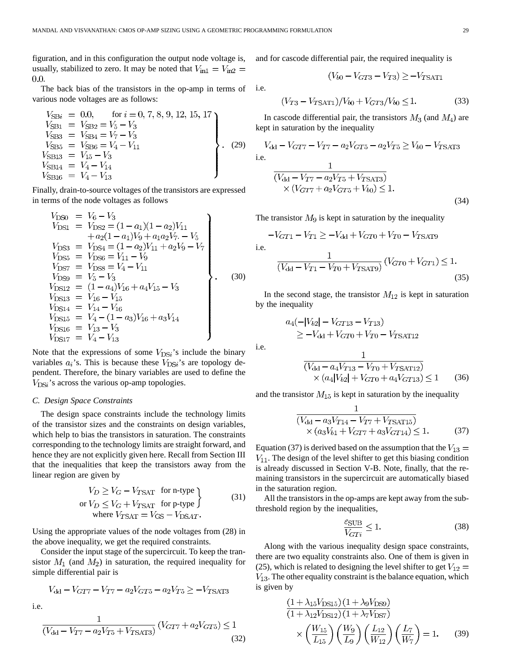figuration, and in this configuration the output node voltage is, usually, stabilized to zero. It may be noted that  $V_{\text{in1}} = V_{\text{in2}} =$  $0.0.$ 

The back bias of the transistors in the op-amp in terms of various node voltages are as follows:

$$
V_{\text{SB}} = 0.0, \quad \text{for } i = 0, 7, 8, 9, 12, 15, 17
$$
  
\n
$$
V_{\text{SB}} = V_{\text{SB}} = V_5 - V_3
$$
  
\n
$$
V_{\text{SB}} = V_{\text{SB}} = V_7 - V_3
$$
  
\n
$$
V_{\text{SB}} = V_{\text{SB}} = V_4 - V_{11}
$$
  
\n
$$
V_{\text{SB}} = V_{15} - V_3
$$
  
\n
$$
V_{\text{SB}} = V_4 - V_{14}
$$
  
\n
$$
V_{\text{SB}} = V_4 - V_{13}
$$
  
\n(29)

Finally, drain-to-source voltages of the transistors are expressed in terms of the node voltages as follows

$$
V_{DS0} = V_6 - V_3
$$
  
\n
$$
V_{DS1} = V_{DS2} = (1 - a_1)(1 - a_2)V_{11}
$$
  
\n
$$
+ a_2(1 - a_1)V_9 + a_1a_2V_7. - V_5
$$
  
\n
$$
V_{DS3} = V_{DS4} = (1 - a_2)V_{11} + a_2V_9 - V_7
$$
  
\n
$$
V_{DS5} = V_{DS6} = V_{11} - V_9
$$
  
\n
$$
V_{DS7} = V_{DS8} = V_4 - V_{11}
$$
  
\n
$$
V_{DS9} = V_5 - V_3
$$
  
\n
$$
V_{DS12} = (1 - a_4)V_{16} + a_4V_{15} - V_3
$$
  
\n
$$
V_{DS13} = V_{16} - V_{15}
$$
  
\n
$$
V_{DS14} = V_{14} - V_{16}
$$
  
\n
$$
V_{DS15} = V_4 - (1 - a_3)V_{16} + a_3V_{14}
$$
  
\n
$$
V_{DS16} = V_{13} - V_3
$$
  
\n
$$
V_{DS17} = V_4 - V_{13}
$$

Note that the expressions of some  $V_{DSi}$ 's include the binary variables  $a_i$ 's. This is because these  $V_{DSi}$ 's are topology dependent. Therefore, the binary variables are used to define the  $V_{DSi}$ 's across the various op-amp topologies.

## *C. Design Space Constraints*

The design space constraints include the technology limits of the transistor sizes and the constraints on design variables, which help to bias the transistors in saturation. The constraints corresponding to the technology limits are straight forward, and hence they are not explicitly given here. Recall from Section III that the inequalities that keep the transistors away from the linear region are given by

$$
V_D \geq V_G - V_{TSAT} \quad \text{for n-type}
$$
  
or  $V_D \leq V_G + V_{TSAT} \quad \text{for p-type}$   
where  $V_{TSAT} = V_{GS} - V_{DSAT}$ . (31)

Using the appropriate values of the node voltages from (28) in the above inequality, we get the required constraints.

Consider the input stage of the supercircuit. To keep the transistor  $M_1$  (and  $M_2$ ) in saturation, the required inequality for simple differential pair is

$$
V_{\rm dd} - V_{GT7} - V_{T7} - a_2 V_{GT5} - a_2 V_{T5} \ge -V_{T\rm SAT3}
$$
 i.e.

$$
\frac{1}{(V_{\rm dd} - V_{T7} - a_2 V_{T5} + V_{TSAT3})} (V_{GT7} + a_2 V_{GT5}) \le 1
$$
\n(32)

and for cascode differential pair, the required inequality is

i.e.

$$
(V_{T3} - V_{TSAT1})/V_{b0} + V_{GT3}/V_{b0} \le 1.
$$
 (33)

 $(V_{b0} - V_{GT3} - V_{T3}) > -V_{TSAT1}$ 

In cascode differential pair, the transistors  $M_3$  (and  $M_4$ ) are kept in saturation by the inequality

$$
V_{\rm dd} - V_{GT7} - V_{T7} - a_2 V_{GT5} - a_2 V_{T5} \ge V_{b0} - V_{TSAT3}
$$
  
i.e.  

$$
\frac{1}{(V_{\rm dd} - V_{T7} - a_2 V_{T5} + V_{TSAT3})}
$$

$$
\times (V_{GT7} + a_2 V_{GT5} + V_{b0}) \le 1.
$$
 (34)

The transistor  $M_9$  is kept in saturation by the inequality

$$
-V_{GT1} - V_{T1} \ge -V_{dd} + V_{GT0} + V_{T0} - V_{TSAT9}
$$
  
i.e. 
$$
\frac{1}{(V_{dd} - V_{T1} - V_{T0} + V_{TSAT9})} (V_{GT0} + V_{GT1}) \le 1.
$$
 (35)

In the second stage, the transistor  $M_{12}$  is kept in saturation by the inequality

 $\overline{1}$ 

$$
a_4(-|V_{b2}| - V_{GT13} - V_{T13})
$$
  
\n
$$
\ge -V_{dd} + V_{GT0} + V_{T0} - V_{TSAT12}
$$

i.e.

$$
\frac{1}{(V_{dd} - a_4 V_{T13} - V_{T0} + V_{TSAT12})}
$$
  
×  $(a_4 |V_{b2}| + V_{GTO} + a_4 V_{GT13}) \le 1$  (36)

and the transistor  $M_{15}$  is kept in saturation by the inequality

$$
\frac{1}{(V_{\rm dd} - a_3 V_{T14} - V_{T7} + V_{TSAT15})}
$$
  
×  $(a_3 V_{b1} + V_{GT7} + a_3 V_{GT14}) \le 1.$  (37)

Equation (37) is derived based on the assumption that the  $V_{13} =$  $V_{11}$ . The design of the level shifter to get this biasing condition is already discussed in Section V-B. Note, finally, that the remaining transistors in the supercircuit are automatically biased in the saturation region.

All the transistors in the op-amps are kept away from the subthreshold region by the inequalities,

$$
\frac{\varepsilon_{\text{SUB}}}{V_{GTi}} \le 1. \tag{38}
$$

Along with the various inequality design space constraints, there are two equality constraints also. One of them is given in (25), which is related to designing the level shifter to get  $V_{12}$  =  $V_{13}$ . The other equality constraint is the balance equation, which is given by

$$
\frac{(1 + \lambda_{15}V_{DS15})(1 + \lambda_{9}V_{DS9})}{(1 + \lambda_{12}V_{DS12})(1 + \lambda_{7}V_{DS7})}\times \left(\frac{W_{15}}{L_{15}}\right)\left(\frac{W_{9}}{L_{9}}\right)\left(\frac{L_{12}}{W_{12}}\right)\left(\frac{L_{7}}{W_{7}}\right) = 1.
$$
 (39)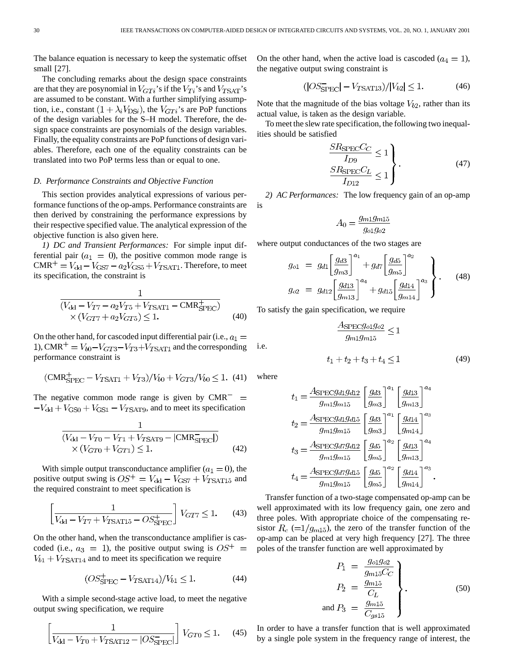The balance equation is necessary to keep the systematic offset small [27].

The concluding remarks about the design space constraints are that they are posynomial in  $V_{GTi}$ 's if the  $V_{Ti}$ 's and  $V_{TSAT}$ 's are assumed to be constant. With a further simplifying assumption, i.e., constant  $(1 + \lambda_i V_{DSi})$ , the  $V_{GTi}$ 's are PoP functions of the design variables for the S–H model. Therefore, the design space constraints are posynomials of the design variables. Finally, the equality constraints are PoP functions of design variables. Therefore, each one of the equality constraints can be translated into two PoP terms less than or equal to one.

## *D. Performance Constraints and Objective Function*

This section provides analytical expressions of various performance functions of the op-amps. Performance constraints are then derived by constraining the performance expressions by their respective specified value. The analytical expression of the objective function is also given here.

*1) DC and Transient Performances:* For simple input differential pair  $(a_1 = 0)$ , the positive common mode range is  $CMR^+ = V_{dd} - V_{GS7} - a_2V_{GS5} + V_{TSAT1}$ . Therefore, to meet its specification, the constraint is

$$
\frac{1}{(V_{\text{dd}} - V_{T7} - a_2 V_{T5} + V_{TSAT1} - \text{CMR}_{\text{SPEC}}^+)}
$$
  
×  $(V_{GT7} + a_2 V_{GT5}) \le 1$ . (40)

On the other hand, for cascoded input differential pair (i.e.,  $a_1 =$ 1), CMR<sup>+</sup> =  $V_{b0} - V_{GT3} - V_{T3} + V_{TSAT1}$  and the corresponding performance constraint is

$$
(\text{CMR}_{\text{SPEC}}^+ - V_{T\text{SAT1}} + V_{T3})/V_{b0} + V_{GT3}/V_{b0} \le 1. (41)
$$
 wh

The negative common mode range is given by  $CMR^{-}$  =  $-V_{\text{dd}} + V_{\text{GSD}} + V_{\text{GSI}} - V_{\text{TSAT9}}$ , and to meet its specification

$$
\frac{1}{(V_{dd} - V_{T0} - V_{T1} + V_{TSAT9} - |CMR_{SPEC}^{-}|)} \times (V_{GT0} + V_{GT1}) \le 1.
$$
\n(42)

With simple output transconductance amplifier ( $a_1 = 0$ ), the positive output swing is  $OS^+ = V_{dd} - V_{GS7} + V_{TSAT15}$  and the required constraint to meet specification is

$$
\left[\frac{1}{V_{\text{dd}} - V_{T7} + V_{TSAT15} - OS_{\text{SPEC}}^{+}}\right] V_{GT7} \le 1. \tag{43}
$$

On the other hand, when the transconductance amplifier is cascoded (i.e.,  $a_3 = 1$ ), the positive output swing is  $OS^+ =$  $V_{b1} + V_{T<sub>T</sub>SAT14}$  and to meet its specification we require

$$
(OS_{\rm SPEC}^+ - V_{T\rm SAT14})/V_{b1} \le 1.
$$
 (44)

With a simple second-stage active load, to meet the negative output swing specification, we require

$$
\left[\frac{1}{V_{\text{dd}} - V_{T0} + V_{T \text{SAT12}} - |OS_{\text{SPEC}}|}\right] V_{GT0} \le 1. \tag{45}
$$

On the other hand, when the active load is cascoded ( $a_4 = 1$ ), the negative output swing constraint is

$$
(|OS_{\text{SPEC}}| - V_{\text{TSAT13}})/|V_{b2}| \le 1. \tag{46}
$$

Note that the magnitude of the bias voltage  $V_{b2}$ , rather than its actual value, is taken as the design variable.

To meet the slew rate specification, the following two inequalities should be satisfied

$$
\frac{SR_{\text{SPEC}}C_C}{I_{D9}} \le 1
$$
\n
$$
\frac{SR_{\text{SPEC}}C_L}{I_{D12}} \le 1
$$
\n(47)

*2) AC Performances:* The low frequency gain of an op-amp is

$$
A_0 = \frac{g_{m1}g_{m15}}{g_{o1}g_{o2}}
$$

where output conductances of the two stages are

$$
g_{o1} = g_{d1} \left[ \frac{g_{d3}}{g_{m3}} \right]^{a_1} + g_{d7} \left[ \frac{g_{d5}}{g_{m5}} \right]^{a_2}
$$
  

$$
g_{o2} = g_{d12} \left[ \frac{g_{d13}}{g_{m13}} \right]^{a_4} + g_{d15} \left[ \frac{g_{d14}}{g_{m14}} \right]^{a_3}
$$
 (48)

To satisfy the gain specification, we require

$$
\frac{A_{\text{SPEC}}g_{o1}g_{o2}}{g_{m1}g_{m15}} \le 1
$$
  

$$
t_1 + t_2 + t_3 + t_4 \le 1
$$
 (49)

ree

i.e.

$$
t_1 = \frac{A_{\text{SPEC}}g_{d1}g_{d12}}{g_{m1}g_{m15}} \left[\frac{g_{d3}}{g_{m3}}\right]^{a_1} \left[\frac{g_{d13}}{g_{m13}}\right]^{a_4}
$$

$$
t_2 = \frac{A_{\text{SPEC}}g_{d1}g_{d15}}{g_{m1}g_{m15}} \left[\frac{g_{d3}}{g_{m3}}\right]^{a_1} \left[\frac{g_{d14}}{g_{m14}}\right]^{a_3}
$$

$$
t_3 = \frac{A_{\text{SPEC}}g_{d7}g_{d12}}{g_{m1}g_{m15}} \left[\frac{g_{d5}}{g_{m5}}\right]^{a_2} \left[\frac{g_{d13}}{g_{m13}}\right]^{a_4}
$$

$$
t_4 = \frac{A_{\text{SPEC}}g_{d7}g_{d15}}{g_{m1}g_{m15}} \left[\frac{g_{d5}}{g_{m5}}\right]^{a_2} \left[\frac{g_{d14}}{g_{m14}}\right]^{a_3}.
$$

Transfer function of a two-stage compensated op-amp can be well approximated with its low frequency gain, one zero and three poles. With appropriate choice of the compensating resistor  $R_c$  (=1/g<sub>m15</sub>), the zero of the transfer function of the op-amp can be placed at very high frequency [27]. The three poles of the transfer function are well approximated by

$$
P_1 = \frac{g_{01}g_{02}}{g_{m15}C_C}
$$
  
\n
$$
P_2 = \frac{g_{m15}}{C_L}
$$
  
\nand 
$$
P_3 = \frac{g_{m15}}{C_{gs15}}
$$
 (50)

In order to have a transfer function that is well approximated by a single pole system in the frequency range of interest, the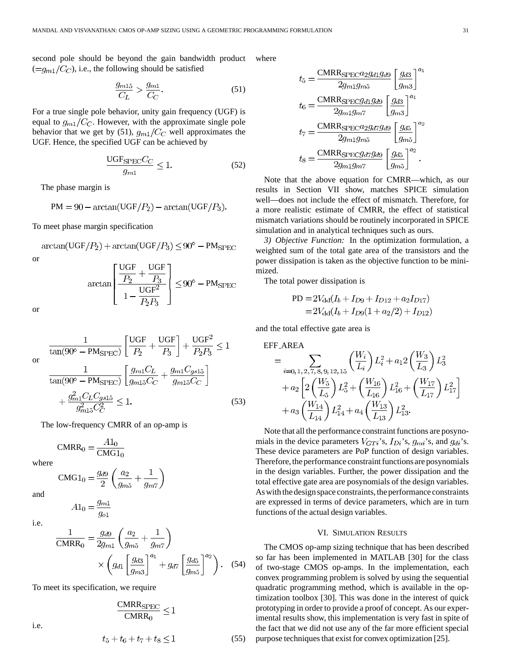second pole should be beyond the gain bandwidth product  $(=g<sub>m1</sub>/C<sub>C</sub>)$ , i.e., the following should be satisfied where

$$
\frac{g_{m15}}{C_L} > \frac{g_{m1}}{C_C}.\tag{51}
$$

For a true single pole behavior, unity gain frequency (UGF) is equal to  $g_{m1}/C_C$ . However, with the approximate single pole behavior that we get by (51),  $g_{m1}/C_C$  well approximates the UGF. Hence, the specified UGF can be achieved by

$$
\frac{\text{UGF}_{\text{SPEC}}C_C}{g_{m1}} \le 1. \tag{52}
$$

The phase margin is

$$
PM = 90 - \arctan(\text{UGF}/P_2) - \arctan(\text{UGF}/P_3).
$$

To meet phase margin specification

$$
\arctan(\text{UGF}/P_2) + \arctan(\text{UGF}/P_3) \leq 90^\circ - \text{PM}_{\text{SPEC}}
$$
\nor

$$
\arctan\left[\frac{\frac{\text{UGF}}{P_2} + \frac{\text{UGF}}{P_3}}{1 - \frac{\text{UGF}^2}{P_2 P_3}}\right] \leq 90^\circ - \text{PM}_{\text{SPEC}}
$$

or

$$
\frac{1}{\tan(90^{\circ} - PM_{\text{SPEC}})} \left[ \frac{\text{UGF}}{P_2} + \frac{\text{UGF}}{P_3} \right] + \frac{\text{UGF}^2}{P_2 P_3} \le 1
$$
\n
$$
\frac{1}{\tan(90^{\circ} - PM_{\text{SPEC}})} \left[ \frac{g_{m1} C_L}{g_{m15} C_C} + \frac{g_{m1} C_{gs15}}{g_{m15} C_C} \right]
$$
\n
$$
+ \frac{g_{m1}^2 C_L C_{gs15}}{g_{m15}^2 C_C^2} \le 1.
$$
\n(53)

The low-frequency CMRR of an op-amp is

$$
CMRR_0 = \frac{A1_0}{CMG1_0}
$$

where

$$
CMG1_0 = \frac{g_{d9}}{2} \left( \frac{a_2}{g_{m5}} + \frac{1}{g_{m7}} \right)
$$

and

i.e.

i.e.

$$
A1_0 = \frac{g_{m1}}{g_{o1}}
$$

$$
\frac{1}{\text{CMRR}_0} = \frac{g_{d9}}{2g_{m1}} \left( \frac{a_2}{g_{m5}} + \frac{1}{g_{m7}} \right)
$$

$$
\times \left( g_{d1} \left[ \frac{g_{d3}}{g_{m3}} \right]^{a_1} + g_{d7} \left[ \frac{g_{d5}}{g_{m5}} \right]^{a_2} \right). \quad (54)
$$

To meet its specification, we require

$$
\frac{\text{CMRR}_{\text{SPEC}}}{\text{CMRR}_0} \le 1
$$

$$
t_5 + t_6 + t_7 + t_8 \le 1\tag{55}
$$

$$
t_5 = \frac{\text{CMRR}_{\text{SPEC}}a_2g_{d1}g_{d9}}{2g_{m1}g_{m5}} \left[\frac{g_{d3}}{g_{m3}}\right]^{a_1}
$$

$$
t_6 = \frac{\text{CMRR}_{\text{SPEC}}g_{d1}g_{d9}}{2g_{m1}g_{m7}} \left[\frac{g_{d3}}{g_{m3}}\right]^{a_1}
$$

$$
t_7 = \frac{\text{CMRR}_{\text{SPEC}}a_2g_{d7}g_{d9}}{2g_{m1}g_{m5}} \left[\frac{g_{d5}}{g_{m5}}\right]^{a_2}
$$

$$
t_8 = \frac{\text{CMRR}_{\text{SPEC}}g_{d7}g_{d9}}{2g_{m1}g_{m7}} \left[\frac{g_{d5}}{g_{m5}}\right]^{a_2}.
$$

Note that the above equation for CMRR—which, as our results in Section VII show, matches SPICE simulation well—does not include the effect of mismatch. Therefore, for a more realistic estimate of CMRR, the effect of statistical mismatch variations should be routinely incorporated in SPICE simulation and in analytical techniques such as ours.

*3) Objective Function:* In the optimization formulation, a weighted sum of the total gate area of the transistors and the power dissipation is taken as the objective function to be minimized.

The total power dissipation is

$$
PD = 2V_{dd}(I_b + I_{D9} + I_{D12} + a_2I_{D17})
$$
  
= 2V\_{dd}(I\_b + I\_{D9}(1 + a\_2/2) + I\_{D12})

and the total effective gate area is

$$
\begin{split} \text{EFF\_AREA} \\ & = \sum_{i=0,\,1,\,2,\,7,\,8,\,9,\,12,\,15} \left( \frac{W_i}{L_i} \right) L_i^2 + a_1 2 \left( \frac{W_3}{L_3} \right) L_3^2 \\ & + a_2 \left[ 2 \left( \frac{W_5}{L_5} \right) L_5^2 + \left( \frac{W_{16}}{L_{16}} \right) L_{16}^2 + \left( \frac{W_{17}}{L_{17}} \right) L_{17}^2 \right] \\ & + a_3 \left( \frac{W_{14}}{L_{14}} \right) L_{14}^2 + a_4 \left( \frac{W_{13}}{L_{13}} \right) L_{13}^2. \end{split}
$$

Note that all the performance constraint functions are posynomials in the device parameters  $V_{GTi}$ 's,  $I_{Di}$ 's,  $g_{mi}$ 's, and  $g_{di}$ 's. These device parameters are PoP function of design variables. Therefore, the performance constraint functions are posynomials in the design variables. Further, the power dissipation and the total effective gate area are posynomials of the design variables. As with the design space constraints, the performance constraints are expressed in terms of device parameters, which are in turn functions of the actual design variables.

## VI. SIMULATION RESULTS

The CMOS op-amp sizing technique that has been described so far has been implemented in MATLAB [30] for the class of two-stage CMOS op-amps. In the implementation, each convex programming problem is solved by using the sequential quadratic programming method, which is available in the optimization toolbox [30]. This was done in the interest of quick prototyping in order to provide a proof of concept. As our experimental results show, this implementation is very fast in spite of the fact that we did not use any of the far more efficient special purpose techniques that exist for convex optimization [25].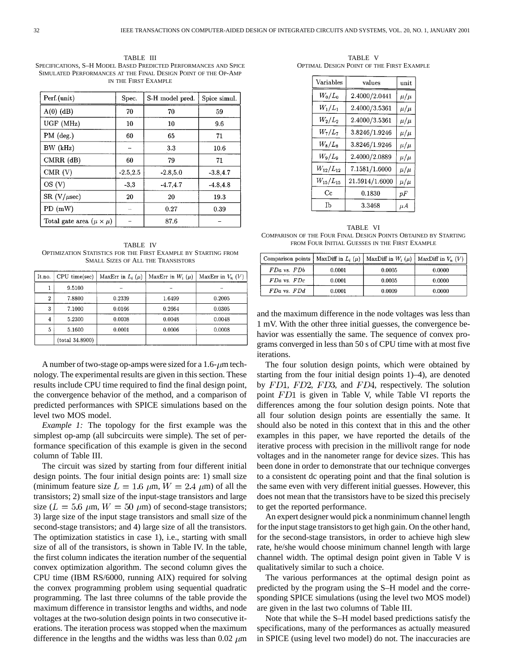TABLE III SPECIFICATIONS, S–H MODEL BASED PREDICTED PERFORMANCES AND SPICE SIMULATED PERFORMANCES AT THE FINAL DESIGN POINT OF THE OP-AMP IN THE FIRST EXAMPLE

| Perf (unit)                        | Spec.       | S-H model pred. | Spice simul. |
|------------------------------------|-------------|-----------------|--------------|
| $A(0)$ (dB)                        | 70          | 70              | 59           |
| $UGF$ (MHz)                        | 10          | 10              | 9.6          |
| $PM$ (deg.)                        | 60          | 65              | 71           |
| BW (kHz)                           |             | 3.3             | 10.6         |
| $CMRR$ $(dB)$                      | 60          | 79              | 71           |
| CMR (V)                            | $-2.5, 2.5$ | $-2.8,5.0$      | $-3.8, 4.7$  |
| OS(V)                              | $-3,3$      | $-4.7, 4.7$     | $-4.8, 4.8$  |
| $SR (V/\mu sec)$                   | 20          | 20              | 19.3         |
| $PD$ (mW)                          |             | 0.27            | 0.39         |
| Total gate area $(\mu \times \mu)$ |             | 87.6            |              |

TABLE IV OPTIMIZATION STATISTICS FOR THE FIRST EXAMPLE BY STARTING FROM SMALL SIZES OF ALL THE TRANSISTORS

| It no.         | CPU time(sec)   | MaxErr in $L_i(\mu)$ | MaxErr in $W_i(\mu)$ | MaxErr in $V_n(V)$ |
|----------------|-----------------|----------------------|----------------------|--------------------|
|                | 9.5100          |                      |                      |                    |
| $\overline{2}$ | 7.8800          | 0.2339               | 1.6499               | 0.2005             |
| 3              | 7.1000          | 0.0166               | 0.2664               | 0.0305             |
| 4              | 5.2300          | 0.0008               | 0.0048               | 0.0048             |
| 5              | 5.1600          | 0.0001               | 0.0006               | 0.0008             |
|                | (total 34.8900) |                      |                      |                    |

A number of two-stage op-amps were sized for a  $1.6$ - $\mu$ m technology. The experimental results are given in this section. These results include CPU time required to find the final design point, the convergence behavior of the method, and a comparison of predicted performances with SPICE simulations based on the level two MOS model.

*Example 1:* The topology for the first example was the simplest op-amp (all subcircuits were simple). The set of performance specification of this example is given in the second column of Table III.

The circuit was sized by starting from four different initial design points. The four initial design points are: 1) small size (minimum feature size  $L = 1.6 \ \mu \text{m}$ ,  $W = 2.4 \ \mu \text{m}$ ) of all the transistors; 2) small size of the input-stage transistors and large size ( $L = 5.6$   $\mu$ m,  $W = 50$   $\mu$ m) of second-stage transistors; 3) large size of the input stage transistors and small size of the second-stage transistors; and 4) large size of all the transistors. The optimization statistics in case 1), i.e., starting with small size of all of the transistors, is shown in Table IV. In the table, the first column indicates the iteration number of the sequential convex optimization algorithm. The second column gives the CPU time (IBM RS/6000, running AIX) required for solving the convex programming problem using sequential quadratic programming. The last three columns of the table provide the maximum difference in transistor lengths and widths, and node voltages at the two-solution design points in two consecutive iterations. The iteration process was stopped when the maximum difference in the lengths and the widths was less than 0.02  $\mu$ m

TABLE V OPTIMAL DESIGN POINT OF THE FIRST EXAMPLE

| Variables       | values         | unit      |
|-----------------|----------------|-----------|
| $W_0/L_0$       | 2.4000/2.0441  | $\mu/\mu$ |
| $W_1/L_1$       | 2.4000/3.5361  | $\mu/\mu$ |
| $W_2/L_2$       | 2.4000/3.5361  | $\mu/\mu$ |
| $W_7/L_7$       | 3.8246/1.9246  | $\mu/\mu$ |
| $W_8/L_8$       | 3.8246/1.9246  | $\mu/\mu$ |
| $W_9/L_9$       | 2.4000/2.0889  | $\mu/\mu$ |
| $W_{12}/L_{12}$ | 7.1581/1.6000  | $\mu/\mu$ |
| $W_{15}/L_{15}$ | 21.5914/1.6000 | $\mu/\mu$ |
| Сc              | 0.1830         | pF        |
| IЬ              | 3.3468         | μA        |

TABLE VI COMPARISON OF THE FOUR FINAL DESIGN POINTS OBTAINED BY STARTING FROM FOUR INITIAL GUESSES IN THE FIRST EXAMPLE

| Comparison points   MaxDiff in $L_i(\mu)$ |        | MaxDiff in $W_i(\mu)$   MaxDiff in $V_n(V)$ |        |
|-------------------------------------------|--------|---------------------------------------------|--------|
| FDa vs. FDb                               | 0.0001 | 0.0005                                      | 0.0000 |
| FDa vs. FDc                               | 0.0001 | 0.0005                                      | 0.0000 |
| FDa vs. FDd                               | 0.0001 | 0.0009                                      | 0.0000 |

and the maximum difference in the node voltages was less than 1 mV. With the other three initial guesses, the convergence behavior was essentially the same. The sequence of convex programs converged in less than 50 s of CPU time with at most five iterations.

The four solution design points, which were obtained by starting from the four initial design points 1)–4), are denoted by  $FD1, FD2, FD3,$  and  $FD4$ , respectively. The solution point  $FD1$  is given in Table V, while Table VI reports the differences among the four solution design points. Note that all four solution design points are essentially the same. It should also be noted in this context that in this and the other examples in this paper, we have reported the details of the iterative process with precision in the millivolt range for node voltages and in the nanometer range for device sizes. This has been done in order to demonstrate that our technique converges to a consistent dc operating point and that the final solution is the same even with very different initial guesses. However, this does not mean that the transistors have to be sized this precisely to get the reported performance.

An expert designer would pick a nonminimum channel length for the input stage transistors to get high gain. On the other hand, for the second-stage transistors, in order to achieve high slew rate, he/she would choose minimum channel length with large channel width. The optimal design point given in Table V is qualitatively similar to such a choice.

The various performances at the optimal design point as predicted by the program using the S–H model and the corresponding SPICE simulations (using the level two MOS model) are given in the last two columns of Table III.

Note that while the S–H model based predictions satisfy the specifications, many of the performances as actually measured in SPICE (using level two model) do not. The inaccuracies are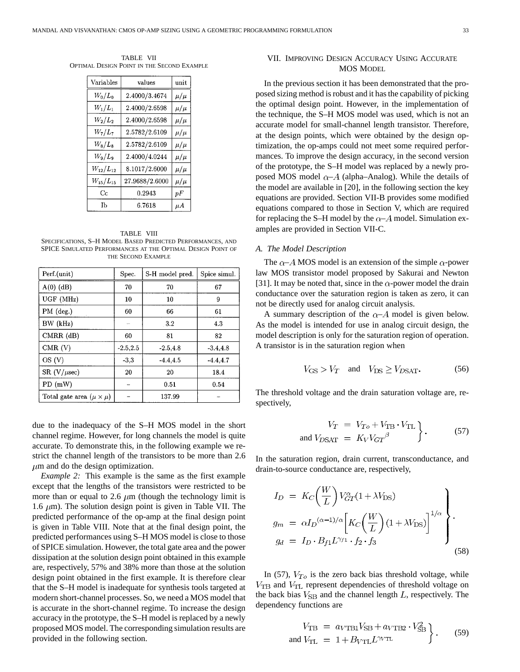TABLE VII OPTIMAL DESIGN POINT IN THE SECOND EXAMPLE

| Variables       | values         | unit      |
|-----------------|----------------|-----------|
| $W_0/L_0$       | 2.4000/3.4674  | $\mu/\mu$ |
| $W_1/L_1$       | 2.4000/2.6598  | $\mu/\mu$ |
| $W_2/L_2$       | 2.4000/2.6598  | $\mu/\mu$ |
| $W_7/L_7$       | 2.5782/2.6109  | $\mu/\mu$ |
| $W_8/L_8$       | 2.5782/2.6109  | $\mu/\mu$ |
| $W_9/L_9$       | 2.4000/4.0244  | $\mu/\mu$ |
| $W_{12}/L_{12}$ | 8.1017/2.6000  | $\mu/\mu$ |
| $W_{15}/L_{15}$ | 27.9688/2.6000 | $\mu/\mu$ |
| Cc.             | 0.2943         | рF        |
| ĪЪ              | 6.7618         | μA        |

TABLE VIII SPECIFICATIONS, S–H MODEL BASED PREDICTED PERFORMANCES, AND SPICE SIMULATED PERFORMANCES AT THE OPTIMAL DESIGN POINT OF THE SECOND EXAMPLE

| Perf.(unit)                        | Spec.       | S-H model pred. | Spice simul. |
|------------------------------------|-------------|-----------------|--------------|
| $A(0)$ (dB)                        | 70          | 70              | 67           |
| UGF (MHz)                          | 10          | 10              | 9            |
| $PM$ (deg.)                        | 60          | 66              | 61           |
| BW (kHz)                           | on a        | 3.2             | 4.3          |
| CMRR (dB)                          | 60          | 81              | 82           |
| CMR (V)                            | $-2.5, 2.5$ | $-2.5, 4.8$     | $-3.4, 4.8$  |
| OS(V)                              | $-3.3$      | $-4.4.4.5$      | $-4.4.4.7$   |
| SR $(V/\mu \text{sec})$            | 20          | 20              | 18.4         |
| $PD$ (mW)                          |             | 0.51            | 0.54         |
| Total gate area $(\mu \times \mu)$ |             | 137.99          |              |

due to the inadequacy of the S–H MOS model in the short channel regime. However, for long channels the model is quite accurate. To demonstrate this, in the following example we restrict the channel length of the transistors to be more than 2.6  $\mu$ m and do the design optimization.

*Example 2:* This example is the same as the first example except that the lengths of the transistors were restricted to be more than or equal to 2.6  $\mu$ m (though the technology limit is 1.6  $\mu$ m). The solution design point is given in Table VII. The predicted performance of the op-amp at the final design point is given in Table VIII. Note that at the final design point, the predicted performances using S–H MOS model is close to those of SPICE simulation. However, the total gate area and the power dissipation at the solution design point obtained in this example are, respectively, 57% and 38% more than those at the solution design point obtained in the first example. It is therefore clear that the S–H model is inadequate for synthesis tools targeted at modern short-channel processes. So, we need a MOS model that is accurate in the short-channel regime. To increase the design accuracy in the prototype, the S–H model is replaced by a newly proposed MOS model. The corresponding simulation results are provided in the following section.

# VII. IMPROVING DESIGN ACCURACY USING ACCURATE MOS MODEL

In the previous section it has been demonstrated that the proposed sizing method is robust and it has the capability of picking the optimal design point. However, in the implementation of the technique, the S–H MOS model was used, which is not an accurate model for small-channel length transistor. Therefore, at the design points, which were obtained by the design optimization, the op-amps could not meet some required performances. To improve the design accuracy, in the second version of the prototype, the S–H model was replaced by a newly proposed MOS model  $\alpha$ -A (alpha–Analog). While the details of the model are available in [20], in the following section the key equations are provided. Section VII-B provides some modified equations compared to those in Section V, which are required for replacing the S–H model by the  $\alpha$ –A model. Simulation examples are provided in Section VII-C.

## *A. The Model Description*

The  $\alpha$ –AMOS model is an extension of the simple  $\alpha$ -power law MOS transistor model proposed by Sakurai and Newton [31]. It may be noted that, since in the  $\alpha$ -power model the drain conductance over the saturation region is taken as zero, it can not be directly used for analog circuit analysis.

A summary description of the  $\alpha$ -A model is given below. As the model is intended for use in analog circuit design, the model description is only for the saturation region of operation. A transistor is in the saturation region when

$$
V_{\rm GS} > V_T \quad \text{and} \quad V_{\rm DS} \ge V_{\rm DSAT}.\tag{56}
$$

The threshold voltage and the drain saturation voltage are, respectively,

$$
V_T = V_{T_o} + V_{\text{TB}} \cdot V_{\text{TL}} \n\text{and } V_{\text{DSAT}} = K_V V_{GT}^{\beta}.
$$
\n(57)

In the saturation region, drain current, transconductance, and drain-to-source conductance are, respectively,

$$
I_D = K_C \left(\frac{W}{L}\right) V_{GT}^{\alpha} (1 + \lambda V_{DS})
$$
  
\n
$$
g_m = \alpha I_D^{(\alpha - 1)/\alpha} \left[ K_C \left(\frac{W}{L}\right) (1 + \lambda V_{DS}) \right]^{1/\alpha}
$$
  
\n
$$
g_d = I_D \cdot B_{f1} L^{\gamma_{f1}} \cdot f_2 \cdot f_3
$$
\n(58)

In (57),  $V_{To}$  is the zero back bias threshold voltage, while  $V_{\text{TB}}$  and  $V_{\text{TL}}$  represent dependencies of threshold voltage on the back bias  $V_{\text{SB}}$  and the channel length  $L$ , respectively. The dependency functions are

$$
V_{\text{TB}} = a_{V \text{TB1}} V_{\text{SB}} + a_{V \text{TB2}} \cdot V_{\text{SB}}^2
$$
  
and 
$$
V_{\text{TL}} = 1 + B_{V \text{TL}} V^{\text{TL}}
$$
 (59)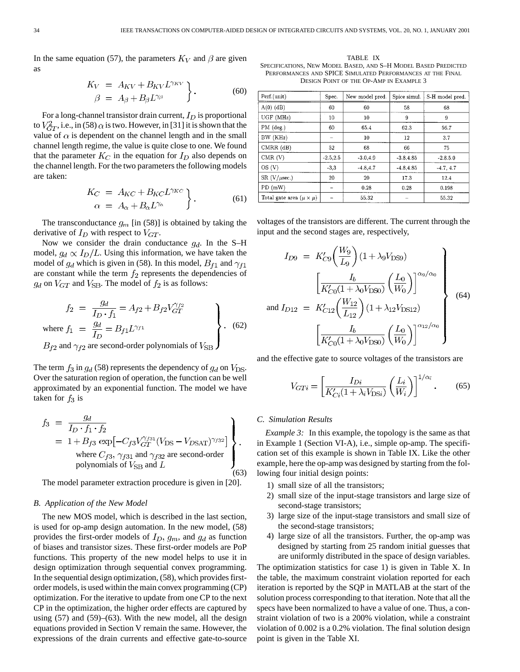In the same equation (57), the parameters  $K_V$  and  $\beta$  are given as

$$
K_V = A_{KV} + B_{KV} L^{\gamma_{KV}} \n\beta = A_{\beta} + B_{\beta} L^{\gamma_{\beta}}.
$$
\n(60)

For a long-channel transistor drain current,  $I_D$  is proportional to  $V_{GT}^2$ , i.e., in (58)  $\alpha$  is two. However, in [31] it is shown that the value of  $\alpha$  is dependent on the channel length and in the small channel length regime, the value is quite close to one. We found that the parameter  $K_C$  in the equation for  $I_D$  also depends on the channel length. For the two parameters the following models are taken:

$$
K_C = A_{KC} + B_{KC}L^{\gamma_{KC}} \n\alpha = A_{\alpha} + B_{\alpha}L^{\gamma_{\alpha}}.
$$
\n(61)

The transconductance  $g_m$  [in (58)] is obtained by taking the derivative of  $I_D$  with respect to  $V_{GT}$ .

Now we consider the drain conductance  $g_d$ . In the S–H model,  $g_d \propto I_D/L$ . Using this information, we have taken the model of  $g_d$  which is given in (58). In this model,  $B_{f1}$  and  $\gamma_{f1}$ are constant while the term  $f_2$  represents the dependencies of  $g_d$  on  $V_{GT}$  and  $V_{SB}$ . The model of  $f_2$  is as follows:

$$
f_2 = \frac{g_d}{I_D \cdot f_1} = A_{f2} + B_{f2} V_{GT}^{\gamma_{f2}}
$$
  
where  $f_1 = \frac{g_d}{I_D} = B_{f1} L^{\gamma_{f1}}$   
 $B_{f2}$  and  $\gamma_{f2}$  are second-order polynomials of  $V_{SB}$  (62)

The term  $f_3$  in  $g_d$  (58) represents the dependency of  $g_d$  on  $V_{\text{DS}}$ . Over the saturation region of operation, the function can be well approximated by an exponential function. The model we have taken for  $f_3$  is

$$
f_3 = \frac{g_d}{I_D \cdot f_1 \cdot f_2}
$$
  
= 1 + B<sub>f3</sub> exp[-C<sub>f3</sub>V<sub>GT</sub><sup>7/31</sup>(V<sub>DS</sub> - V<sub>DSAT</sub>)<sup>7/32</sup>]  
where C<sub>f3</sub>,  $\gamma_{f31}$  and  $\gamma_{f32}$  are second-order  
polynomials of V<sub>SB</sub> and L\n(63)

The model parameter extraction procedure is given in [20].

#### *B. Application of the New Model*

The new MOS model, which is described in the last section, is used for op-amp design automation. In the new model, (58) provides the first-order models of  $I_D$ ,  $g_m$ , and  $g_d$  as function of biases and transistor sizes. These first-order models are PoP functions. This property of the new model helps to use it in design optimization through sequential convex programming. In the sequential design optimization, (58), which provides firstorder models, is used within the main convex programming (CP) optimization. For the iterative to update from one CP to the next CP in the optimization, the higher order effects are captured by using  $(57)$  and  $(59)$ – $(63)$ . With the new model, all the design equations provided in Section V remain the same. However, the expressions of the drain currents and effective gate-to-source

TABLE IX SPECIFICATIONS, NEW MODEL BASED, AND S–H MODEL BASED PREDICTED PERFORMANCES AND SPICE SIMULATED PERFORMANCES AT THE FINAL DESIGN POINT OF THE OP-AMP IN EXAMPLE 3

| Perf.(unit)                        | Spec.      | New model pred.  | Spice simul. | S-H model pred. |
|------------------------------------|------------|------------------|--------------|-----------------|
| $A(0)$ (dB)                        | 60         | 60               | 58           | 68              |
| $UGF$ (MHz)                        | 10         | 10               | 9            | 9               |
| $PM$ (deg.)                        | 60         | 65.4             | 62.3         | 56.7            |
| BW (KHz)                           | $\sim$     | 10 <sup>10</sup> | 12           | 3.7             |
| $CMRR$ ( $dB$ )                    | 52         | 68               | 66           | 75              |
| CMR (V)                            | $-2.5.2.5$ | $-3.0, 4.9$      | $-3.8.4.85$  | $-2.8.5.0$      |
| OS(V)                              | $-3,3$     | $-4.8, 4.7$      | $-4.8, 4.85$ | $-4.7, 4.7$     |
| SR $(V/\mu \text{sec.})$           | 20         | 20               | 17.3         | 12.4            |
| $PD$ (mW)                          |            | 0.28             | 0.28         | 0.198           |
| Total gate area $(\mu \times \mu)$ |            | 55.32            |              | 55.32           |

voltages of the transistors are different. The current through the input and the second stages are, respectively,

$$
I_{D9} = K'_{C9} \left( \frac{W_9}{L_9} \right) (1 + \lambda_9 V_{DS9})
$$

$$
\left[ \frac{I_b}{K'_{C0} (1 + \lambda_0 V_{DS0})} \left( \frac{L_0}{W_0} \right) \right]^{\alpha_9/\alpha_0}
$$
and  $I_{D12} = K'_{C12} \left( \frac{W_{12}}{L_{12}} \right) (1 + \lambda_{12} V_{DS12})$ 
$$
\left[ \frac{I_b}{K'_{C0} (1 + \lambda_0 V_{DS0})} \left( \frac{L_0}{W_0} \right) \right]^{\alpha_{12}/\alpha_0}
$$
(64)

and the effective gate to source voltages of the transistors are

$$
V_{GTi} = \left[\frac{I_{Di}}{K'_{Ci}(1 + \lambda_i V_{DSi})} \left(\frac{L_i}{W_i}\right)\right]^{1/\alpha_i}.
$$
 (65)

## *C. Simulation Results*

*Example 3:* In this example, the topology is the same as that in Example 1 (Section VI-A), i.e., simple op-amp. The specification set of this example is shown in Table IX. Like the other example, here the op-amp was designed by starting from the following four initial design points:

- 1) small size of all the transistors;
- 2) small size of the input-stage transistors and large size of second-stage transistors;
- 3) large size of the input-stage transistors and small size of the second-stage transistors;
- 4) large size of all the transistors. Further, the op-amp was designed by starting from 25 random initial guesses that are uniformly distributed in the space of design variables.

The optimization statistics for case 1) is given in Table X. In the table, the maximum constraint violation reported for each iteration is reported by the SQP in MATLAB at the start of the solution process corresponding to that iteration. Note that all the specs have been normalized to have a value of one. Thus, a constraint violation of two is a 200% violation, while a constraint violation of 0.002 is a 0.2% violation. The final solution design point is given in the Table XI.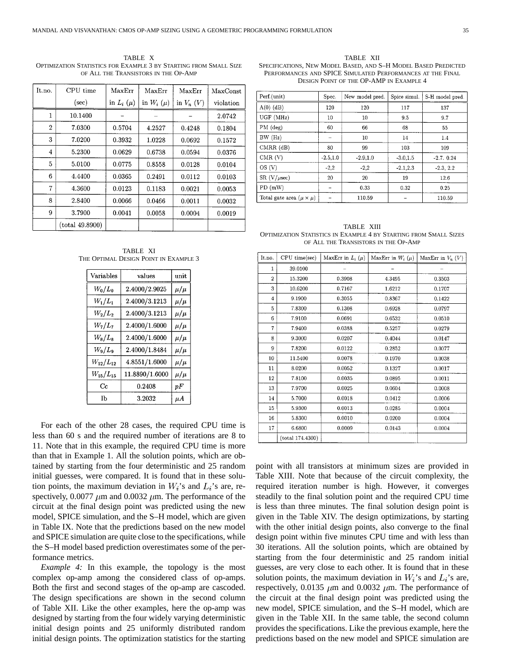TABLE X OPTIMIZATION STATISTICS FOR EXAMPLE 3 BY STARTING FROM SMALL SIZE OF ALL THE TRANSISTORS IN THE OP-AMP

| It no.         | CPU time        | MaxErr        | MaxErr        | MaxErr      | MaxConst  |
|----------------|-----------------|---------------|---------------|-------------|-----------|
|                | (sec)           | in $L_i(\mu)$ | in $W_i(\mu)$ | in $V_n(V)$ | violation |
| 1              | 10.1400         |               |               |             | 2.0742    |
| $\overline{2}$ | 7.0300          | 0.5704        | 4.2527        | 0.4248      | 0.1804    |
| 3              | 7.0200          | 0.3932        | 1.0228        | 0.0692      | 0.1572    |
| 4              | 5.2300          | 0.0629        | 0.6738        | 0.0594      | 0.0376    |
| 5              | 5.0100          | 0.0775        | 0.8558        | 0.0128      | 0.0104    |
| 6              | 4.4400          | 0.0365        | 0.2491        | 0.0112      | 0.0103    |
| 7              | 4.3600          | 0.0123        | 0.1183        | 0.0021      | 0.0053    |
| 8              | 2.8400          | 0.0066        | 0.0466        | 0.0011      | 0.0032    |
| 9              | 3.7900          | 0.0041        | 0.0058        | 0.0004      | 0.0019    |
|                | (total 49.8900) |               |               |             |           |

TABLE XII SPECIFICATIONS, NEW MODEL BASED, AND S–H MODEL BASED PREDICTED PERFORMANCES AND SPICE SIMULATED PERFORMANCES AT THE FINAL DESIGN POINT OF THE OP-AMP IN EXAMPLE 4

| Perf.(unit)                        | Spec.       | New model pred. | Spice simul. | S-H model pred. |
|------------------------------------|-------------|-----------------|--------------|-----------------|
| $A(0)$ (dB)                        | 120         | 120             | 117          | 137             |
| $UGF$ (MHz)                        | 10          | 10              | 9.5          | 9.7             |
| $PM$ (deg)                         | 60          | 66              | 68           | 55              |
| BW(Hz)                             | <b>SALE</b> | 10              | 14           | 1.4             |
| $CMRR$ (dB)                        | 80          | 99              | 103          | 109             |
| CMR(V)                             | $-2.5, 1.0$ | $-2.9.1.0$      | $-3.0, 1.5$  | $-2.7.0.24$     |
| OS(V)                              | $-2,2$      | $-2,2$          | $-2.1, 2.3$  | $-2.3, 2.2$     |
| $SR (V/\mu sec)$                   | 20          | 20              | 19           | 12.6            |
| PD(mW)                             | -           | 0.33            | 0.32         | 0.25            |
| Total gate area $(\mu \times \mu)$ |             | 110.59          |              | 110.59          |

TABLE XIII OPTIMIZATION STATISTICS IN EXAMPLE 4 BY STARTING FROM SMALL SIZES OF ALL THE TRANSISTORS IN THE OP-AMP

| It.no.         | CPU time(sec)    | MaxErr in $L_i(\mu)$ | MaxErr in $W_i(\mu)$ | MaxErr in $V_n(V)$ |
|----------------|------------------|----------------------|----------------------|--------------------|
| 1              | 39.0100          |                      |                      |                    |
| $\overline{2}$ | 15.3200          | 0.3908               | 4.3495               | 0.3503             |
| 3              | 10.6200          | 0.7167               | 1.6212               | 0.1707             |
| 4              | 9.1900           | 0.3055               | 0.8367               | 0.1422             |
| 5              | 7.8300           | 0.1308               | 0.6928               | 0.0797             |
| 6              | 7.9100           | 0.0691               | 0.6532               | 0.0510             |
| 7              | 7.9400           | 0.0388               | 0.5257               | 0.0279             |
| 8              | 9.3000           | 0.0207               | 0.4044               | 0.0147             |
| 9              | 7.8200           | 0.0122               | 0.2852               | 0.0077             |
| 10             | 11.5400          | 0.0078               | à.<br>0.1970         | 0.0038             |
| 11             | 8.0200           | 0.0052               | 0.1327               | 0.0017             |
| 12             | 7.8100           | 0.0035               | 0.0895               | 0.0011             |
| 13             | 7.9700           | 0.0025               | 0.0604               | 0.0008             |
| 14             | 5.7000           | 0.0018               | 0.0412               | 0.0006             |
| 15             | 5.9300           | 0.0013               | 0.0285               | 0.0004             |
| 16             | 5.8300           | 0.0010               | 0.0200               | 0.0004             |
| 17             | 6.6800           | 0.0009               | 0.0143               | 0.0004             |
|                | (total 174.4300) |                      |                      |                    |

point with all transistors at minimum sizes are provided in Table XIII. Note that because of the circuit complexity, the required iteration number is high. However, it converges steadily to the final solution point and the required CPU time is less than three minutes. The final solution design point is given in the Table XIV. The design optimizations, by starting with the other initial design points, also converge to the final design point within five minutes CPU time and with less than 30 iterations. All the solution points, which are obtained by starting from the four deterministic and 25 random initial guesses, are very close to each other. It is found that in these solution points, the maximum deviation in  $W_i$ 's and  $L_i$ 's are, respectively, 0.0135  $\mu$ m and 0.0032  $\mu$ m. The performance of the circuit at the final design point was predicted using the new model, SPICE simulation, and the S–H model, which are given in the Table XII. In the same table, the second column provides the specifications. Like the previous example, here the predictions based on the new model and SPICE simulation are

TABLE XI THE OPTIMAL DESIGN POINT IN EXAMPLE 3

| Variables       | values         | unit      |
|-----------------|----------------|-----------|
| $W_0/L_0$       | 2.4000/2.9025  | $\mu/\mu$ |
| $W_1/L_1$       | 2.4000/3.1213  | $\mu/\mu$ |
| $W_2/L_2$       | 2.4000/3.1213  | $\mu/\mu$ |
| $W_7/L_7$       | 2.4000/1.6000  | $\mu/\mu$ |
| $W_8/L_8$       | 2.4000/1.6000  | $\mu/\mu$ |
| $W_9/L_9$       | 2.4000/1.8484  | $\mu/\mu$ |
| $W_{12}/L_{12}$ | 4.8551/1.6000  | $\mu/\mu$ |
| $W_{15}/L_{15}$ | 11.8890/1.6000 | $\mu/\mu$ |
| Cc              | 0.2408         | рF        |
| Ib              | 3.2032         | uΑ        |

For each of the other 28 cases, the required CPU time is less than 60 s and the required number of iterations are 8 to 11. Note that in this example, the required CPU time is more than that in Example 1. All the solution points, which are obtained by starting from the four deterministic and 25 random initial guesses, were compared. It is found that in these solution points, the maximum deviation in  $W_i$ 's and  $L_i$ 's are, respectively, 0.0077  $\mu$ m and 0.0032  $\mu$ m. The performance of the circuit at the final design point was predicted using the new model, SPICE simulation, and the S–H model, which are given in Table IX. Note that the predictions based on the new model and SPICE simulation are quite close to the specifications, while the S–H model based prediction overestimates some of the performance metrics.

*Example 4:* In this example, the topology is the most complex op-amp among the considered class of op-amps. Both the first and second stages of the op-amp are cascoded. The design specifications are shown in the second column of Table XII. Like the other examples, here the op-amp was designed by starting from the four widely varying deterministic initial design points and 25 uniformly distributed random initial design points. The optimization statistics for the starting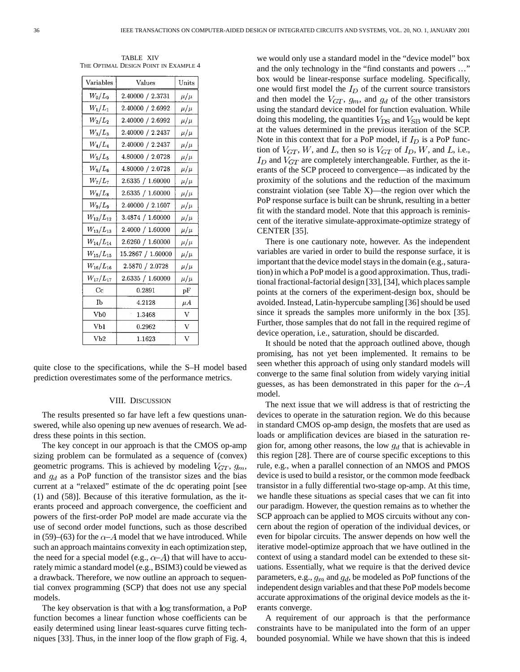TABLE XIV THE OPTIMAL DESIGN POINT IN EXAMPLE 4

| Variables           | Values            | Units     |
|---------------------|-------------------|-----------|
| $W_0/L_0$           | 2.40000 / 2.3731  | $\mu/\mu$ |
| $W_1/L_1$           | 2.40000 / 2.6992  | $\mu/\mu$ |
| $W_2/\mathcal{L}_2$ | 2.40000 / 2.6992  | $\mu/\mu$ |
| $W_3/L_3$           | 2.40000 / 2.2437  | $\mu/\mu$ |
| $W_4/L_4$           | 2.40000 / 2.2437  | $\mu/\mu$ |
| $W_5/L_5$           | 4.80000 / 2.0728  | $\mu/\mu$ |
| $W_6/L_6$           | 4.80000 / 2.0728  | $\mu/\mu$ |
| $W_7/L_7$           | 2.6335 / 1.60000  | $\mu/\mu$ |
| $W_8/L_8$           | 2.6335 / 1.60000  | $\mu/\mu$ |
| $W_9/L_9$           | 2.40000 / 2.1607  | $\mu/\mu$ |
| $W_{12}/L_{12}$     | 3.4874 / 1.60000  | $\mu/\mu$ |
| $W_{13}/L_{13}$     | 2.4000 / 1.60000  | $\mu/\mu$ |
| $W_{14}/L_{14}$     | 2.6260 / 1.60000  | $\mu/\mu$ |
| $W_{15}/L_{15}$     | 15.2867 / 1.60000 | $\mu/\mu$ |
| $W_{16}/L_{16}$     | 2.5870 / 2.0728   | $\mu/\mu$ |
| $W_{17}/L_{17}$     | 2.6335 / 1.60000  | $\mu/\mu$ |
| $_{\rm C}$          | 0.2891            | pF        |
| Ib                  | 4.2128            | $\mu A$   |
| Vb0                 | 1.3468            | V         |
| Vb1                 | 0.2962            | V         |
| Vb2                 | 1.1623            | V         |

quite close to the specifications, while the S–H model based prediction overestimates some of the performance metrics.

#### VIII. DISCUSSION

The results presented so far have left a few questions unanswered, while also opening up new avenues of research. We address these points in this section.

The key concept in our approach is that the CMOS op-amp sizing problem can be formulated as a sequence of (convex) geometric programs. This is achieved by modeling  $V_{GT}$ ,  $g_m$ , and  $g_d$  as a PoP function of the transistor sizes and the bias current at a "relaxed" estimate of the dc operating point [see (1) and (58)]. Because of this iterative formulation, as the iterants proceed and approach convergence, the coefficient and powers of the first-order PoP model are made accurate via the use of second order model functions, such as those described in (59)–(63) for the  $\alpha$ –A model that we have introduced. While such an approach maintains convexity in each optimization step, the need for a special model (e.g.,  $\alpha$ -A) that will have to accurately mimic a standard model (e.g., BSIM3) could be viewed as a drawback. Therefore, we now outline an approach to sequential convex programming (SCP) that does not use any special models.

The key observation is that with a log transformation, a PoP function becomes a linear function whose coefficients can be easily determined using linear least-squares curve fitting techniques [33]. Thus, in the inner loop of the flow graph of Fig. 4, we would only use a standard model in the "device model" box and the only technology in the "find constants and powers …" box would be linear-response surface modeling. Specifically, one would first model the  $I_D$  of the current source transistors and then model the  $V_{GT}$ ,  $g_m$ , and  $g_d$  of the other transistors using the standard device model for function evaluation. While doing this modeling, the quantities  $V_{DS}$  and  $V_{SB}$  would be kept at the values determined in the previous iteration of the SCP. Note in this context that for a PoP model, if  $I_D$  is a PoP function of  $V_{GT}$ , W, and L, then so is  $V_{GT}$  of  $I_D$ , W, and L, i.e.,  $I_D$  and  $V_{GT}$  are completely interchangeable. Further, as the iterants of the SCP proceed to convergence—as indicated by the proximity of the solutions and the reduction of the maximum constraint violation (see Table X)—the region over which the PoP response surface is built can be shrunk, resulting in a better fit with the standard model. Note that this approach is reminiscent of the iterative simulate-approximate-optimize strategy of CENTER [35].

There is one cautionary note, however. As the independent variables are varied in order to build the response surface, it is important that the device model stays in the domain (e.g., saturation) in which a PoP model is a good approximation. Thus, traditional fractional-factorial design [33], [34], which places sample points at the corners of the experiment-design box, should be avoided. Instead, Latin-hypercube sampling [36] should be used since it spreads the samples more uniformly in the box [35]. Further, those samples that do not fall in the required regime of device operation, i.e., saturation, should be discarded.

It should be noted that the approach outlined above, though promising, has not yet been implemented. It remains to be seen whether this approach of using only standard models will converge to the same final solution from widely varying initial guesses, as has been demonstrated in this paper for the  $\alpha$ -A model.

The next issue that we will address is that of restricting the devices to operate in the saturation region. We do this because in standard CMOS op-amp design, the mosfets that are used as loads or amplification devices are biased in the saturation region for, among other reasons, the low  $g_d$  that is achievable in this region [28]. There are of course specific exceptions to this rule, e.g., when a parallel connection of an NMOS and PMOS device is used to build a resistor, or the common mode feedback transistor in a fully differential two-stage op-amp. At this time, we handle these situations as special cases that we can fit into our paradigm. However, the question remains as to whether the SCP approach can be applied to MOS circuits without any concern about the region of operation of the individual devices, or even for bipolar circuits. The answer depends on how well the iterative model-optimize approach that we have outlined in the context of using a standard model can be extended to these situations. Essentially, what we require is that the derived device parameters, e.g.,  $g_m$  and  $g_d$ , be modeled as PoP functions of the independent design variables and that these PoP models become accurate approximations of the original device models as the iterants converge.

A requirement of our approach is that the performance constraints have to be manipulated into the form of an upper bounded posynomial. While we have shown that this is indeed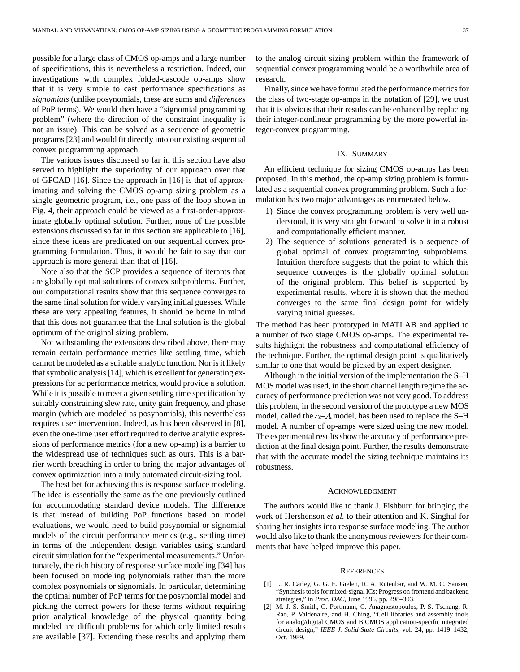possible for a large class of CMOS op-amps and a large number of specifications, this is nevertheless a restriction. Indeed, our investigations with complex folded-cascode op-amps show that it is very simple to cast performance specifications as *signomials* (unlike posynomials, these are sums and *differences* of PoP terms). We would then have a "signomial programming problem" (where the direction of the constraint inequality is not an issue). This can be solved as a sequence of geometric programs [23] and would fit directly into our existing sequential convex programming approach.

The various issues discussed so far in this section have also served to highlight the superiority of our approach over that of GPCAD [16]. Since the approach in [16] is that of approximating and solving the CMOS op-amp sizing problem as a single geometric program, i.e., one pass of the loop shown in Fig. 4, their approach could be viewed as a first-order-approximate globally optimal solution. Further, none of the possible extensions discussed so far in this section are applicable to [16], since these ideas are predicated on our sequential convex programming formulation. Thus, it would be fair to say that our approach is more general than that of [16].

Note also that the SCP provides a sequence of iterants that are globally optimal solutions of convex subproblems. Further, our computational results show that this sequence converges to the same final solution for widely varying initial guesses. While these are very appealing features, it should be borne in mind that this does not guarantee that the final solution is the global optimum of the original sizing problem.

Not withstanding the extensions described above, there may remain certain performance metrics like settling time, which cannot be modeled as a suitable analytic function. Nor is it likely that symbolic analysis [14], which is excellent for generating expressions for ac performance metrics, would provide a solution. While it is possible to meet a given settling time specification by suitably constraining slew rate, unity gain frequency, and phase margin (which are modeled as posynomials), this nevertheless requires user intervention. Indeed, as has been observed in [8], even the one-time user effort required to derive analytic expressions of performance metrics (for a new op-amp) is a barrier to the widespread use of techniques such as ours. This is a barrier worth breaching in order to bring the major advantages of convex optimization into a truly automated circuit-sizing tool.

The best bet for achieving this is response surface modeling. The idea is essentially the same as the one previously outlined for accommodating standard device models. The difference is that instead of building PoP functions based on model evaluations, we would need to build posynomial or signomial models of the circuit performance metrics (e.g., settling time) in terms of the independent design variables using standard circuit simulation for the "experimental measurements." Unfortunately, the rich history of response surface modeling [34] has been focused on modeling polynomials rather than the more complex posynomials or signomials. In particular, determining the optimal number of PoP terms for the posynomial model and picking the correct powers for these terms without requiring prior analytical knowledge of the physical quantity being modeled are difficult problems for which only limited results are available [37]. Extending these results and applying them

to the analog circuit sizing problem within the framework of sequential convex programming would be a worthwhile area of research.

Finally, since we have formulated the performance metrics for the class of two-stage op-amps in the notation of [29], we trust that it is obvious that their results can be enhanced by replacing their integer-nonlinear programming by the more powerful integer-convex programming.

## IX. SUMMARY

An efficient technique for sizing CMOS op-amps has been proposed. In this method, the op-amp sizing problem is formulated as a sequential convex programming problem. Such a formulation has two major advantages as enumerated below.

- 1) Since the convex programming problem is very well understood, it is very straight forward to solve it in a robust and computationally efficient manner.
- 2) The sequence of solutions generated is a sequence of global optimal of convex programming subproblems. Intuition therefore suggests that the point to which this sequence converges is the globally optimal solution of the original problem. This belief is supported by experimental results, where it is shown that the method converges to the same final design point for widely varying initial guesses.

The method has been prototyped in MATLAB and applied to a number of two stage CMOS op-amps. The experimental results highlight the robustness and computational efficiency of the technique. Further, the optimal design point is qualitatively similar to one that would be picked by an expert designer.

Although in the initial version of the implementation the S–H MOS model was used, in the short channel length regime the accuracy of performance prediction was not very good. To address this problem, in the second version of the prototype a new MOS model, called the  $\alpha$ –A model, has been used to replace the S–H model. A number of op-amps were sized using the new model. The experimental results show the accuracy of performance prediction at the final design point. Further, the results demonstrate that with the accurate model the sizing technique maintains its robustness.

## ACKNOWLEDGMENT

The authors would like to thank J. Fishburn for bringing the work of Hershenson *et al.* to their attention and K. Singhal for sharing her insights into response surface modeling. The author would also like to thank the anonymous reviewers for their comments that have helped improve this paper.

#### **REFERENCES**

- [1] L. R. Carley, G. G. E. Gielen, R. A. Rutenbar, and W. M. C. Sansen, "Synthesis tools for mixed-signal ICs: Progress on frontend and backend strategies," in *Proc. DAC*, June 1996, pp. 298–303.
- [2] M. J. S. Smith, C. Portmann, C. Anagnostopoulos, P. S. Tschang, R. Rao, P. Valdenaire, and H. Ching, "Cell libraries and assembly tools for analog/digital CMOS and BiCMOS application-specific integrated circuit design," *IEEE J. Solid-State Circuits*, vol. 24, pp. 1419–1432, Oct. 1989.